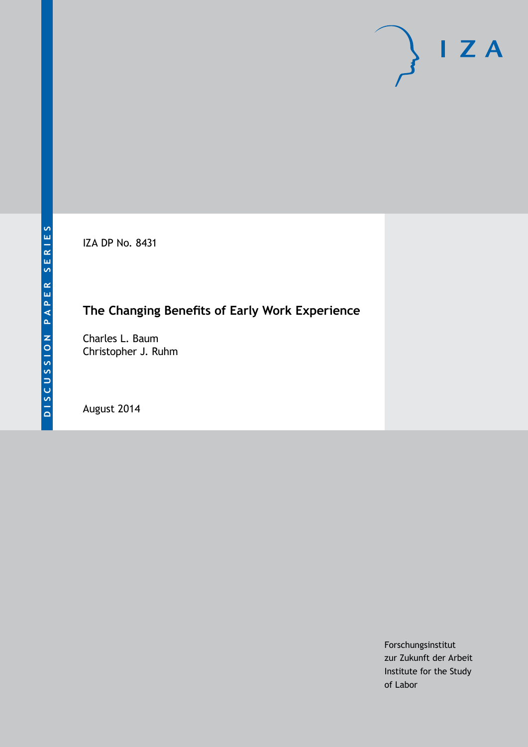IZA DP No. 8431

# **The Changing Benefits of Early Work Experience**

Charles L. Baum Christopher J. Ruhm

August 2014

Forschungsinstitut zur Zukunft der Arbeit Institute for the Study of Labor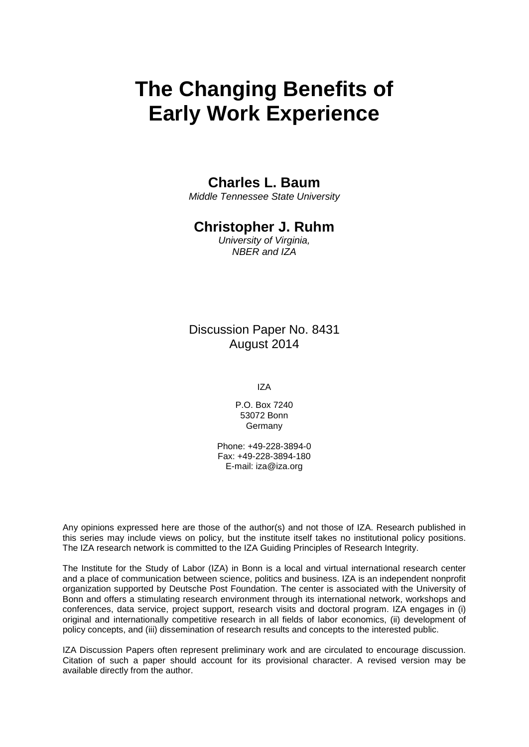# **The Changing Benefits of Early Work Experience**

### **Charles L. Baum**

*Middle Tennessee State University*

### **Christopher J. Ruhm**

*University of Virginia, NBER and IZA*

Discussion Paper No. 8431 August 2014

IZA

P.O. Box 7240 53072 Bonn Germany

Phone: +49-228-3894-0 Fax: +49-228-3894-180 E-mail: [iza@iza.org](mailto:iza@iza.org)

Any opinions expressed here are those of the author(s) and not those of IZA. Research published in this series may include views on policy, but the institute itself takes no institutional policy positions. The IZA research network is committed to the IZA Guiding Principles of Research Integrity.

The Institute for the Study of Labor (IZA) in Bonn is a local and virtual international research center and a place of communication between science, politics and business. IZA is an independent nonprofit organization supported by Deutsche Post Foundation. The center is associated with the University of Bonn and offers a stimulating research environment through its international network, workshops and conferences, data service, project support, research visits and doctoral program. IZA engages in (i) original and internationally competitive research in all fields of labor economics, (ii) development of policy concepts, and (iii) dissemination of research results and concepts to the interested public.

<span id="page-1-0"></span>IZA Discussion Papers often represent preliminary work and are circulated to encourage discussion. Citation of such a paper should account for its provisional character. A revised version may be available directly from the author.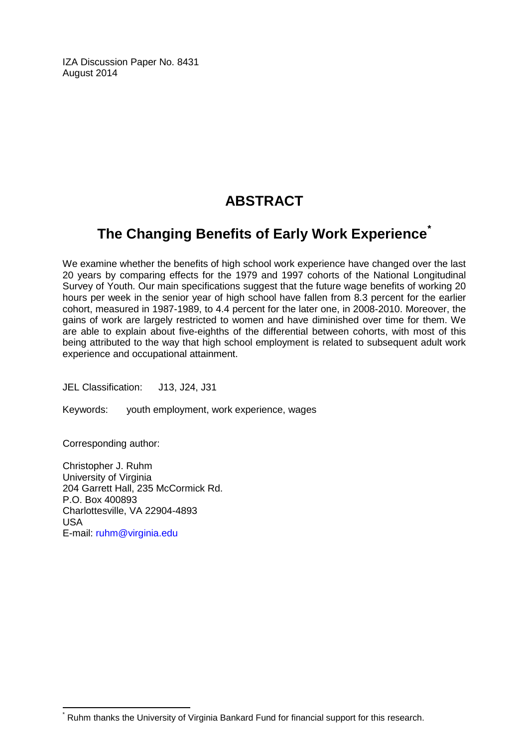IZA Discussion Paper No. 8431 August 2014

# **ABSTRACT**

# **The Changing Benefits of Early Work Experience[\\*](#page-1-0)**

We examine whether the benefits of high school work experience have changed over the last 20 years by comparing effects for the 1979 and 1997 cohorts of the National Longitudinal Survey of Youth. Our main specifications suggest that the future wage benefits of working 20 hours per week in the senior year of high school have fallen from 8.3 percent for the earlier cohort, measured in 1987-1989, to 4.4 percent for the later one, in 2008-2010. Moreover, the gains of work are largely restricted to women and have diminished over time for them. We are able to explain about five-eighths of the differential between cohorts, with most of this being attributed to the way that high school employment is related to subsequent adult work experience and occupational attainment.

JEL Classification: J13, J24, J31

Keywords: youth employment, work experience, wages

Corresponding author:

Christopher J. Ruhm University of Virginia 204 Garrett Hall, 235 McCormick Rd. P.O. Box 400893 Charlottesville, VA 22904-4893 USA E-mail: [ruhm@virginia.edu](mailto:ruhm@virginia.edu)

Ruhm thanks the University of Virginia Bankard Fund for financial support for this research.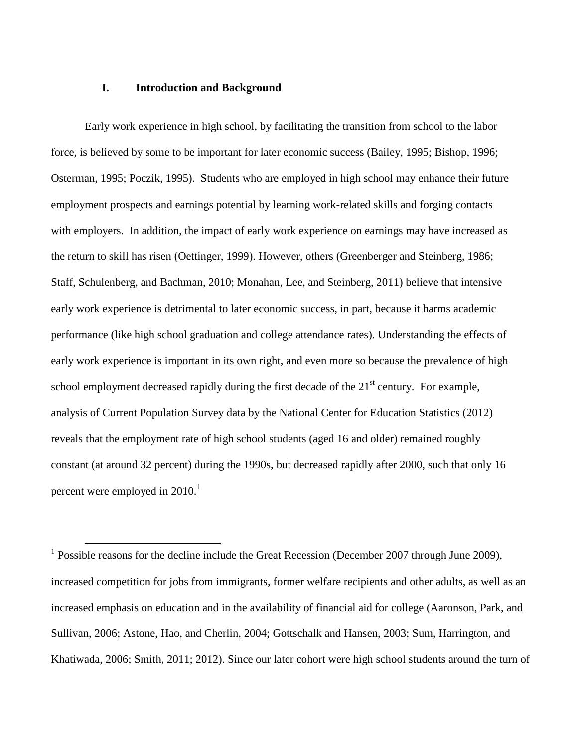#### **I. Introduction and Background**

Early work experience in high school, by facilitating the transition from school to the labor force, is believed by some to be important for later economic success (Bailey, 1995; Bishop, 1996; Osterman, 1995; Poczik, 1995). Students who are employed in high school may enhance their future employment prospects and earnings potential by learning work-related skills and forging contacts with employers. In addition, the impact of early work experience on earnings may have increased as the return to skill has risen (Oettinger, 1999). However, others (Greenberger and Steinberg, 1986; Staff, Schulenberg, and Bachman, 2010; Monahan, Lee, and Steinberg, 2011) believe that intensive early work experience is detrimental to later economic success, in part, because it harms academic performance (like high school graduation and college attendance rates). Understanding the effects of early work experience is important in its own right, and even more so because the prevalence of high school employment decreased rapidly during the first decade of the  $21<sup>st</sup>$  century. For example, analysis of Current Population Survey data by the National Center for Education Statistics (2012) reveals that the employment rate of high school students (aged 16 and older) remained roughly constant (at around 32 percent) during the 1990s, but decreased rapidly after 2000, such that only 16 percent were employed in  $2010<sup>1</sup>$  $2010<sup>1</sup>$  $2010<sup>1</sup>$ 

<span id="page-3-0"></span><sup>1</sup> Possible reasons for the decline include the Great Recession (December 2007 through June 2009), increased competition for jobs from immigrants, former welfare recipients and other adults, as well as an increased emphasis on education and in the availability of financial aid for college (Aaronson, Park, and Sullivan, 2006; Astone, Hao, and Cherlin, 2004; Gottschalk and Hansen, 2003; Sum, Harrington, and Khatiwada, 2006; Smith, 2011; 2012). Since our later cohort were high school students around the turn of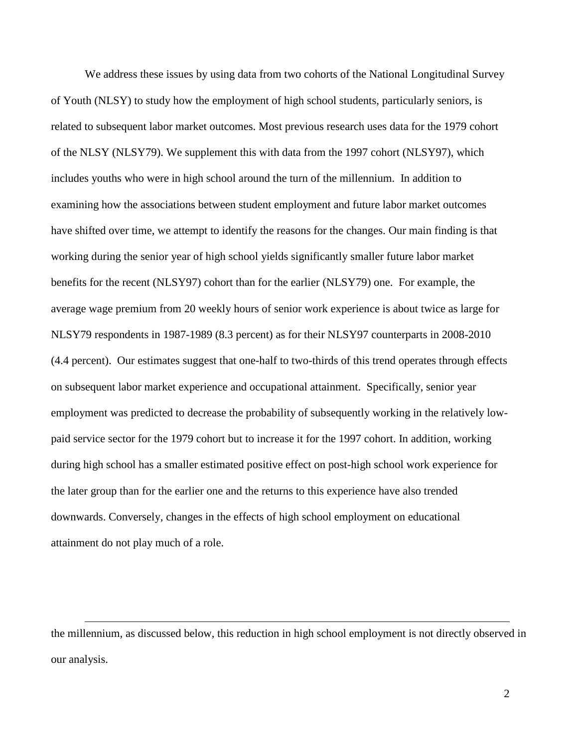We address these issues by using data from two cohorts of the National Longitudinal Survey of Youth (NLSY) to study how the employment of high school students, particularly seniors, is related to subsequent labor market outcomes. Most previous research uses data for the 1979 cohort of the NLSY (NLSY79). We supplement this with data from the 1997 cohort (NLSY97), which includes youths who were in high school around the turn of the millennium. In addition to examining how the associations between student employment and future labor market outcomes have shifted over time, we attempt to identify the reasons for the changes. Our main finding is that working during the senior year of high school yields significantly smaller future labor market benefits for the recent (NLSY97) cohort than for the earlier (NLSY79) one. For example, the average wage premium from 20 weekly hours of senior work experience is about twice as large for NLSY79 respondents in 1987-1989 (8.3 percent) as for their NLSY97 counterparts in 2008-2010 (4.4 percent). Our estimates suggest that one-half to two-thirds of this trend operates through effects on subsequent labor market experience and occupational attainment. Specifically, senior year employment was predicted to decrease the probability of subsequently working in the relatively lowpaid service sector for the 1979 cohort but to increase it for the 1997 cohort. In addition, working during high school has a smaller estimated positive effect on post-high school work experience for the later group than for the earlier one and the returns to this experience have also trended downwards. Conversely, changes in the effects of high school employment on educational attainment do not play much of a role.

the millennium, as discussed below, this reduction in high school employment is not directly observed in our analysis.

 $\overline{a}$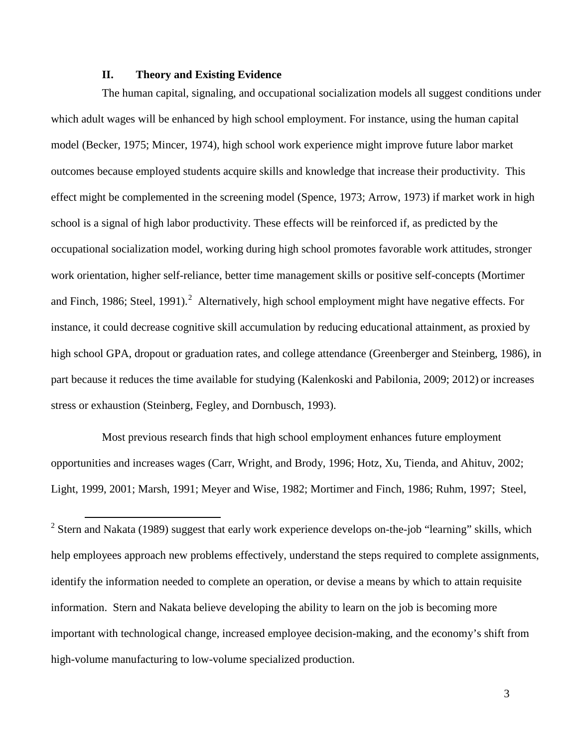#### **II. Theory and Existing Evidence**

The human capital, signaling, and occupational socialization models all suggest conditions under which adult wages will be enhanced by high school employment. For instance, using the human capital model (Becker, 1975; Mincer, 1974), high school work experience might improve future labor market outcomes because employed students acquire skills and knowledge that increase their productivity. This effect might be complemented in the screening model (Spence, 1973; Arrow, 1973) if market work in high school is a signal of high labor productivity. These effects will be reinforced if, as predicted by the occupational socialization model, working during high school promotes favorable work attitudes, stronger work orientation, higher self-reliance, better time management skills or positive self-concepts (Mortimer and Finch, 1986; Steel, 1991).<sup>[2](#page-3-0)</sup> Alternatively, high school employment might have negative effects. For instance, it could decrease cognitive skill accumulation by reducing educational attainment, as proxied by high school GPA, dropout or graduation rates, and college attendance (Greenberger and Steinberg, 1986), in part because it reduces the time available for studying (Kalenkoski and Pabilonia, 2009; 2012) or increases stress or exhaustion (Steinberg, Fegley, and Dornbusch, 1993).

<span id="page-5-0"></span>Most previous research finds that high school employment enhances future employment opportunities and increases wages (Carr, Wright, and Brody, 1996; Hotz, Xu, Tienda, and Ahituv, 2002; Light, 1999, 2001; Marsh, 1991; Meyer and Wise, 1982; Mortimer and Finch, 1986; Ruhm, 1997; Steel,

<sup>&</sup>lt;sup>2</sup> Stern and Nakata (1989) suggest that early work experience develops on-the-job "learning" skills, which help employees approach new problems effectively, understand the steps required to complete assignments, identify the information needed to complete an operation, or devise a means by which to attain requisite information. Stern and Nakata believe developing the ability to learn on the job is becoming more important with technological change, increased employee decision-making, and the economy's shift from high-volume manufacturing to low-volume specialized production.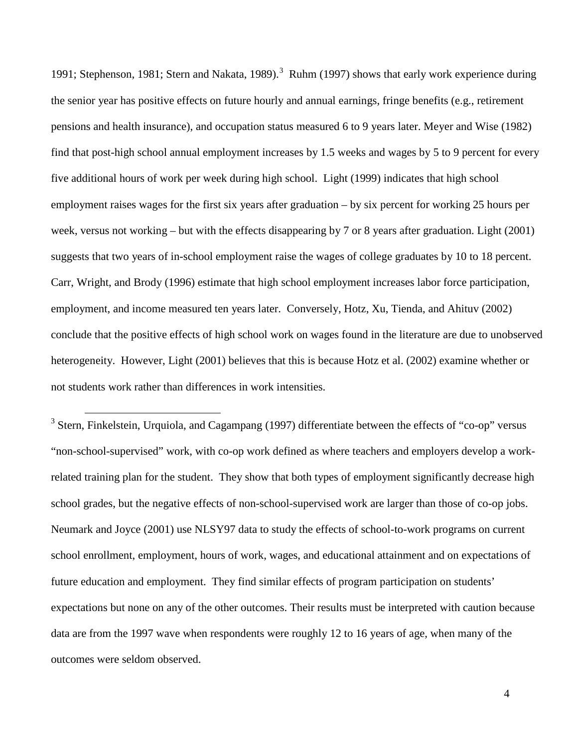1991; Stephenson, 1981; Stern and Nakata, 1989).<sup>[3](#page-5-0)</sup> Ruhm (1997) shows that early work experience during the senior year has positive effects on future hourly and annual earnings, fringe benefits (e.g., retirement pensions and health insurance), and occupation status measured 6 to 9 years later. Meyer and Wise (1982) find that post-high school annual employment increases by 1.5 weeks and wages by 5 to 9 percent for every five additional hours of work per week during high school. Light (1999) indicates that high school employment raises wages for the first six years after graduation – by six percent for working 25 hours per week, versus not working – but with the effects disappearing by 7 or 8 years after graduation. Light (2001) suggests that two years of in-school employment raise the wages of college graduates by 10 to 18 percent. Carr, Wright, and Brody (1996) estimate that high school employment increases labor force participation, employment, and income measured ten years later. Conversely, Hotz, Xu, Tienda, and Ahituv (2002) conclude that the positive effects of high school work on wages found in the literature are due to unobserved heterogeneity. However, Light (2001) believes that this is because Hotz et al. (2002) examine whether or not students work rather than differences in work intensities.

<span id="page-6-0"></span><sup>3</sup> Stern, Finkelstein, Urquiola, and Cagampang (1997) differentiate between the effects of "co-op" versus "non-school-supervised" work, with co-op work defined as where teachers and employers develop a workrelated training plan for the student. They show that both types of employment significantly decrease high school grades, but the negative effects of non-school-supervised work are larger than those of co-op jobs. Neumark and Joyce (2001) use NLSY97 data to study the effects of school-to-work programs on current school enrollment, employment, hours of work, wages, and educational attainment and on expectations of future education and employment. They find similar effects of program participation on students' expectations but none on any of the other outcomes. Their results must be interpreted with caution because data are from the 1997 wave when respondents were roughly 12 to 16 years of age, when many of the outcomes were seldom observed.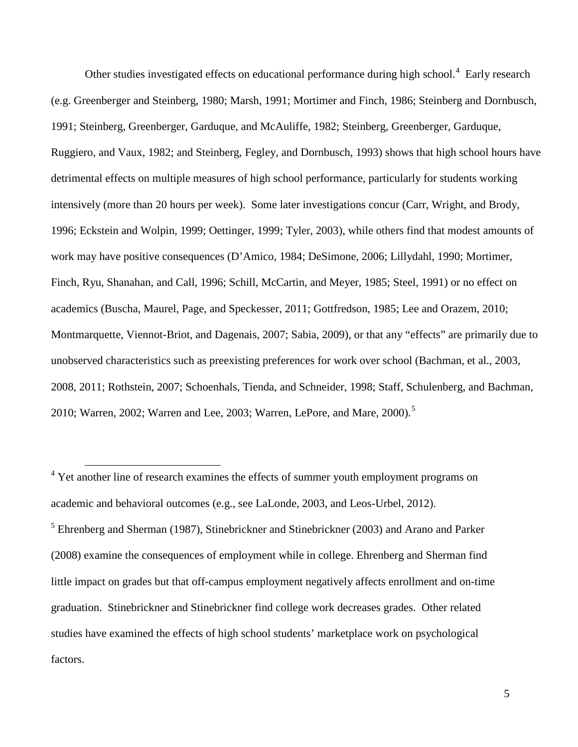Other studies investigated effects on educational performance during high school.<sup>[4](#page-6-0)</sup> Early research (e.g. Greenberger and Steinberg, 1980; Marsh, 1991; Mortimer and Finch, 1986; Steinberg and Dornbusch, 1991; Steinberg, Greenberger, Garduque, and McAuliffe, 1982; Steinberg, Greenberger, Garduque, Ruggiero, and Vaux, 1982; and Steinberg, Fegley, and Dornbusch, 1993) shows that high school hours have detrimental effects on multiple measures of high school performance, particularly for students working intensively (more than 20 hours per week). Some later investigations concur (Carr, Wright, and Brody, 1996; Eckstein and Wolpin, 1999; Oettinger, 1999; Tyler, 2003), while others find that modest amounts of work may have positive consequences (D'Amico, 1984; DeSimone, 2006; Lillydahl, 1990; Mortimer, Finch, Ryu, Shanahan, and Call, 1996; Schill, McCartin, and Meyer, 1985; Steel, 1991) or no effect on academics (Buscha, Maurel, Page, and Speckesser, 2011; Gottfredson, 1985; Lee and Orazem, 2010; Montmarquette, Viennot-Briot, and Dagenais, 2007; Sabia, 2009), or that any "effects" are primarily due to unobserved characteristics such as preexisting preferences for work over school (Bachman, et al., 2003, 2008, 2011; Rothstein, 2007; Schoenhals, Tienda, and Schneider, 1998; Staff, Schulenberg, and Bachman, 2010; Warren, 2002; Warren and Lee, 2003; Warren, LePore, and Mare, 2000).<sup>[5](#page-7-0)</sup>

<span id="page-7-0"></span><sup>5</sup> Ehrenberg and Sherman (1987), Stinebrickner and Stinebrickner (2003) and Arano and Parker (2008) examine the consequences of employment while in college. Ehrenberg and Sherman find little impact on grades but that off-campus employment negatively affects enrollment and on-time graduation. Stinebrickner and Stinebrickner find college work decreases grades. Other related studies have examined the effects of high school students' marketplace work on psychological factors.

<span id="page-7-1"></span><sup>&</sup>lt;sup>4</sup> Yet another line of research examines the effects of summer youth employment programs on academic and behavioral outcomes (e.g., see LaLonde, 2003, and Leos-Urbel, 2012).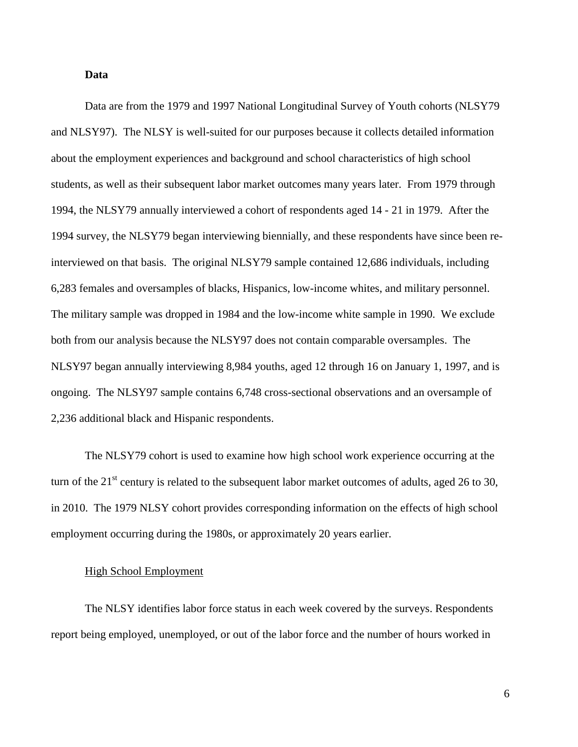#### **Data**

Data are from the 1979 and 1997 National Longitudinal Survey of Youth cohorts (NLSY79 and NLSY97). The NLSY is well-suited for our purposes because it collects detailed information about the employment experiences and background and school characteristics of high school students, as well as their subsequent labor market outcomes many years later. From 1979 through 1994, the NLSY79 annually interviewed a cohort of respondents aged 14 - 21 in 1979. After the 1994 survey, the NLSY79 began interviewing biennially, and these respondents have since been reinterviewed on that basis. The original NLSY79 sample contained 12,686 individuals, including 6,283 females and oversamples of blacks, Hispanics, low-income whites, and military personnel. The military sample was dropped in 1984 and the low-income white sample in 1990. We exclude both from our analysis because the NLSY97 does not contain comparable oversamples. The NLSY97 began annually interviewing 8,984 youths, aged 12 through 16 on January 1, 1997, and is ongoing. The NLSY97 sample contains 6,748 cross-sectional observations and an oversample of 2,236 additional black and Hispanic respondents.

The NLSY79 cohort is used to examine how high school work experience occurring at the turn of the  $21<sup>st</sup>$  century is related to the subsequent labor market outcomes of adults, aged 26 to 30, in 2010. The 1979 NLSY cohort provides corresponding information on the effects of high school employment occurring during the 1980s, or approximately 20 years earlier.

#### High School Employment

The NLSY identifies labor force status in each week covered by the surveys. Respondents report being employed, unemployed, or out of the labor force and the number of hours worked in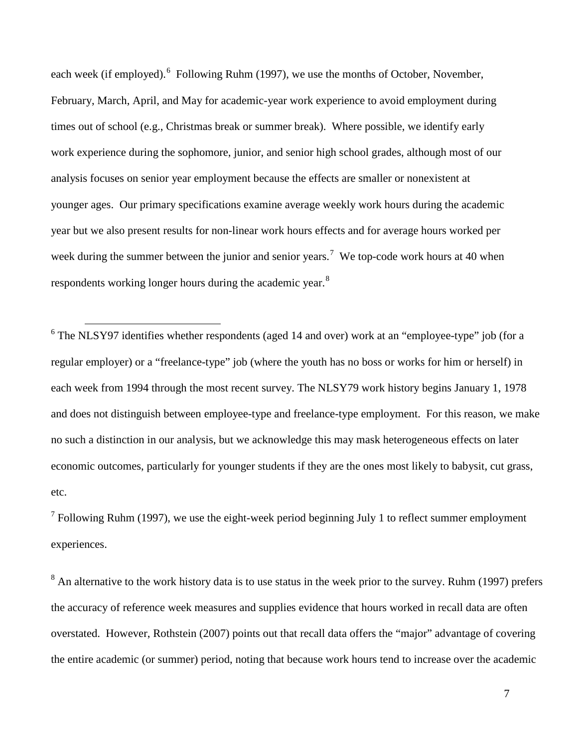each week (if employed). <sup>[6](#page-7-1)</sup> Following Ruhm (1997), we use the months of October, November, February, March, April, and May for academic-year work experience to avoid employment during times out of school (e.g., Christmas break or summer break). Where possible, we identify early work experience during the sophomore, junior, and senior high school grades, although most of our analysis focuses on senior year employment because the effects are smaller or nonexistent at younger ages. Our primary specifications examine average weekly work hours during the academic year but we also present results for non-linear work hours effects and for average hours worked per week during the summer between the junior and senior years.<sup>[7](#page-9-0)</sup> We top-code work hours at 40 when respondents working longer hours during the academic year.<sup>[8](#page-9-1)</sup>

<span id="page-9-2"></span><span id="page-9-0"></span> $<sup>7</sup>$  Following Ruhm (1997), we use the eight-week period beginning July 1 to reflect summer employment</sup> experiences.

<span id="page-9-1"></span><sup>8</sup> An alternative to the work history data is to use status in the week prior to the survey. Ruhm (1997) prefers the accuracy of reference week measures and supplies evidence that hours worked in recall data are often overstated. However, Rothstein (2007) points out that recall data offers the "major" advantage of covering the entire academic (or summer) period, noting that because work hours tend to increase over the academic

 $6$  The NLSY97 identifies whether respondents (aged 14 and over) work at an "employee-type" job (for a regular employer) or a "freelance-type" job (where the youth has no boss or works for him or herself) in each week from 1994 through the most recent survey. The NLSY79 work history begins January 1, 1978 and does not distinguish between employee-type and freelance-type employment. For this reason, we make no such a distinction in our analysis, but we acknowledge this may mask heterogeneous effects on later economic outcomes, particularly for younger students if they are the ones most likely to babysit, cut grass, etc.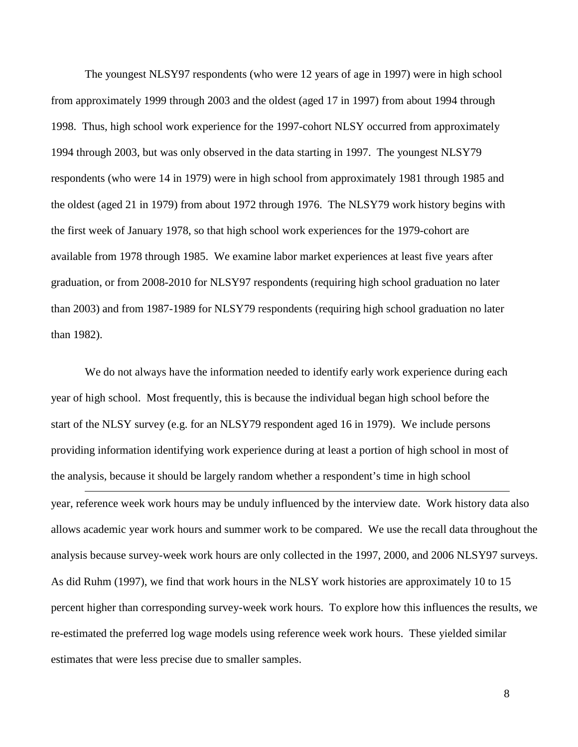The youngest NLSY97 respondents (who were 12 years of age in 1997) were in high school from approximately 1999 through 2003 and the oldest (aged 17 in 1997) from about 1994 through 1998. Thus, high school work experience for the 1997-cohort NLSY occurred from approximately 1994 through 2003, but was only observed in the data starting in 1997. The youngest NLSY79 respondents (who were 14 in 1979) were in high school from approximately 1981 through 1985 and the oldest (aged 21 in 1979) from about 1972 through 1976. The NLSY79 work history begins with the first week of January 1978, so that high school work experiences for the 1979-cohort are available from 1978 through 1985. We examine labor market experiences at least five years after graduation, or from 2008-2010 for NLSY97 respondents (requiring high school graduation no later than 2003) and from 1987-1989 for NLSY79 respondents (requiring high school graduation no later than 1982).

We do not always have the information needed to identify early work experience during each year of high school. Most frequently, this is because the individual began high school before the start of the NLSY survey (e.g. for an NLSY79 respondent aged 16 in 1979). We include persons providing information identifying work experience during at least a portion of high school in most of the analysis, because it should be largely random whether a respondent's time in high school  $\overline{a}$ year, reference week work hours may be unduly influenced by the interview date. Work history data also allows academic year work hours and summer work to be compared. We use the recall data throughout the analysis because survey-week work hours are only collected in the 1997, 2000, and 2006 NLSY97 surveys. As did Ruhm (1997), we find that work hours in the NLSY work histories are approximately 10 to 15 percent higher than corresponding survey-week work hours. To explore how this influences the results, we re-estimated the preferred log wage models using reference week work hours. These yielded similar estimates that were less precise due to smaller samples.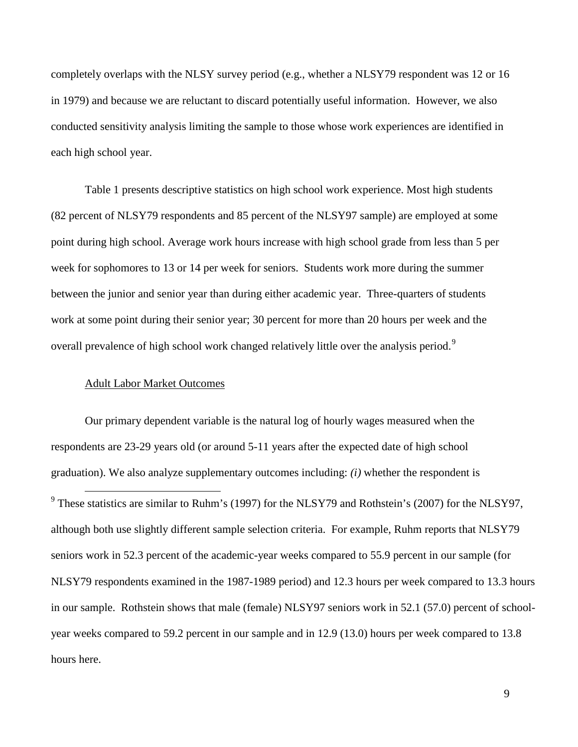completely overlaps with the NLSY survey period (e.g., whether a NLSY79 respondent was 12 or 16 in 1979) and because we are reluctant to discard potentially useful information. However, we also conducted sensitivity analysis limiting the sample to those whose work experiences are identified in each high school year.

Table 1 presents descriptive statistics on high school work experience. Most high students (82 percent of NLSY79 respondents and 85 percent of the NLSY97 sample) are employed at some point during high school. Average work hours increase with high school grade from less than 5 per week for sophomores to 13 or 14 per week for seniors. Students work more during the summer between the junior and senior year than during either academic year. Three-quarters of students work at some point during their senior year; 30 percent for more than 20 hours per week and the overall prevalence of high school work changed relatively little over the analysis period.<sup>[9](#page-9-2)</sup>

#### Adult Labor Market Outcomes

<span id="page-11-0"></span>Our primary dependent variable is the natural log of hourly wages measured when the respondents are 23-29 years old (or around 5-11 years after the expected date of high school graduation). We also analyze supplementary outcomes including: *(i)* whether the respondent is  $9$  These statistics are similar to Ruhm's (1997) for the NLSY79 and Rothstein's (2007) for the NLSY97, although both use slightly different sample selection criteria. For example, Ruhm reports that NLSY79 seniors work in 52.3 percent of the academic-year weeks compared to 55.9 percent in our sample (for NLSY79 respondents examined in the 1987-1989 period) and 12.3 hours per week compared to 13.3 hours in our sample. Rothstein shows that male (female) NLSY97 seniors work in 52.1 (57.0) percent of schoolyear weeks compared to 59.2 percent in our sample and in 12.9 (13.0) hours per week compared to 13.8 hours here.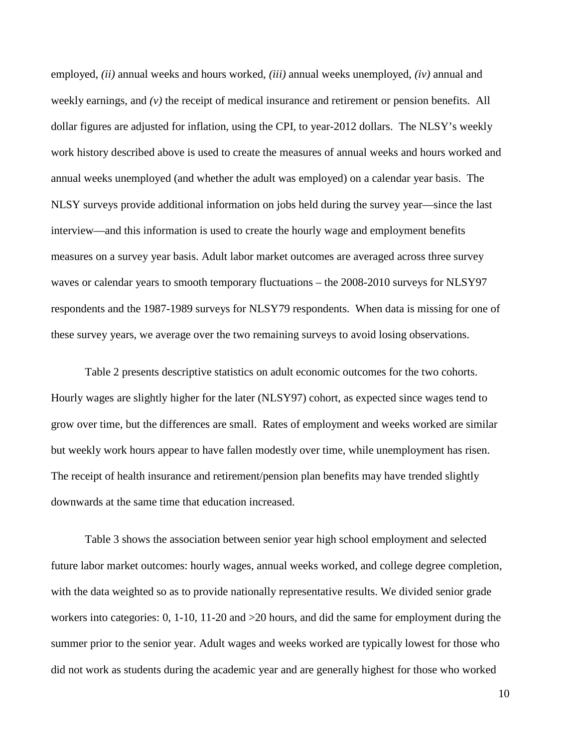employed, *(ii)* annual weeks and hours worked, *(iii)* annual weeks unemployed, *(iv)* annual and weekly earnings, and *(v)* the receipt of medical insurance and retirement or pension benefits. All dollar figures are adjusted for inflation, using the CPI, to year-2012 dollars. The NLSY's weekly work history described above is used to create the measures of annual weeks and hours worked and annual weeks unemployed (and whether the adult was employed) on a calendar year basis. The NLSY surveys provide additional information on jobs held during the survey year—since the last interview—and this information is used to create the hourly wage and employment benefits measures on a survey year basis. Adult labor market outcomes are averaged across three survey waves or calendar years to smooth temporary fluctuations – the 2008-2010 surveys for NLSY97 respondents and the 1987-1989 surveys for NLSY79 respondents. When data is missing for one of these survey years, we average over the two remaining surveys to avoid losing observations.

Table 2 presents descriptive statistics on adult economic outcomes for the two cohorts. Hourly wages are slightly higher for the later (NLSY97) cohort, as expected since wages tend to grow over time, but the differences are small. Rates of employment and weeks worked are similar but weekly work hours appear to have fallen modestly over time, while unemployment has risen. The receipt of health insurance and retirement/pension plan benefits may have trended slightly downwards at the same time that education increased.

Table 3 shows the association between senior year high school employment and selected future labor market outcomes: hourly wages, annual weeks worked, and college degree completion, with the data weighted so as to provide nationally representative results. We divided senior grade workers into categories: 0, 1-10, 11-20 and >20 hours, and did the same for employment during the summer prior to the senior year. Adult wages and weeks worked are typically lowest for those who did not work as students during the academic year and are generally highest for those who worked

10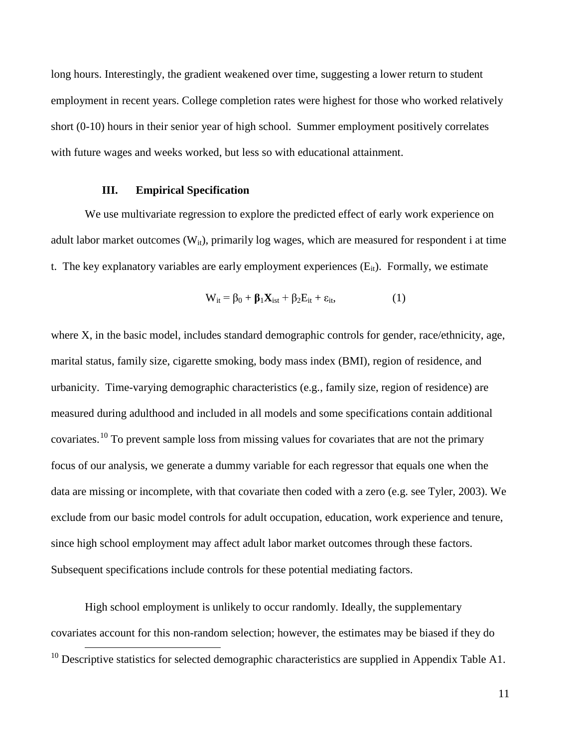long hours. Interestingly, the gradient weakened over time, suggesting a lower return to student employment in recent years. College completion rates were highest for those who worked relatively short (0-10) hours in their senior year of high school. Summer employment positively correlates with future wages and weeks worked, but less so with educational attainment.

#### **III. Empirical Specification**

We use multivariate regression to explore the predicted effect of early work experience on adult labor market outcomes  $(W_{it})$ , primarily log wages, which are measured for respondent i at time t. The key explanatory variables are early employment experiences  $(E_{it})$ . Formally, we estimate

$$
W_{it} = \beta_0 + \beta_1 X_{ist} + \beta_2 E_{it} + \varepsilon_{it},
$$
 (1)

where X, in the basic model, includes standard demographic controls for gender, race/ethnicity, age, marital status, family size, cigarette smoking, body mass index (BMI), region of residence, and urbanicity. Time-varying demographic characteristics (e.g., family size, region of residence) are measured during adulthood and included in all models and some specifications contain additional covariates.<sup>[10](#page-11-0)</sup> To prevent sample loss from missing values for covariates that are not the primary focus of our analysis, we generate a dummy variable for each regressor that equals one when the data are missing or incomplete, with that covariate then coded with a zero (e.g. see Tyler, 2003). We exclude from our basic model controls for adult occupation, education, work experience and tenure, since high school employment may affect adult labor market outcomes through these factors. Subsequent specifications include controls for these potential mediating factors.

<span id="page-13-0"></span>High school employment is unlikely to occur randomly. Ideally, the supplementary covariates account for this non-random selection; however, the estimates may be biased if they do

 $10$  Descriptive statistics for selected demographic characteristics are supplied in Appendix Table A1.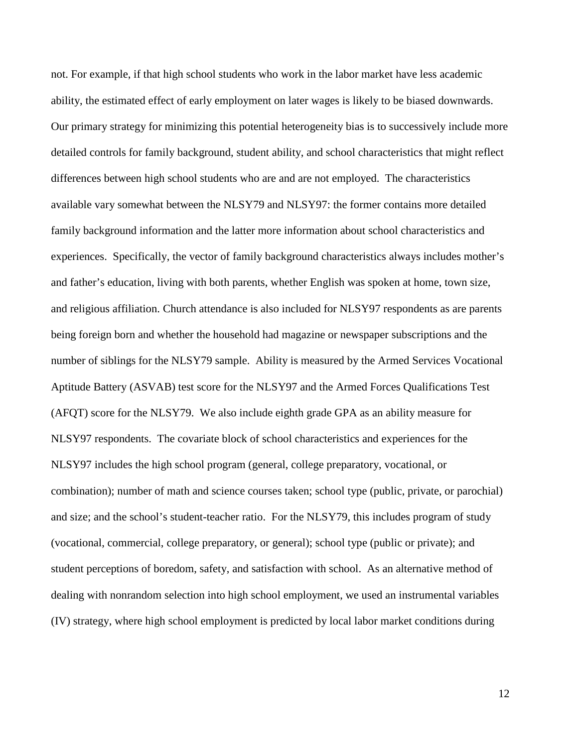not. For example, if that high school students who work in the labor market have less academic ability, the estimated effect of early employment on later wages is likely to be biased downwards. Our primary strategy for minimizing this potential heterogeneity bias is to successively include more detailed controls for family background, student ability, and school characteristics that might reflect differences between high school students who are and are not employed. The characteristics available vary somewhat between the NLSY79 and NLSY97: the former contains more detailed family background information and the latter more information about school characteristics and experiences. Specifically, the vector of family background characteristics always includes mother's and father's education, living with both parents, whether English was spoken at home, town size, and religious affiliation. Church attendance is also included for NLSY97 respondents as are parents being foreign born and whether the household had magazine or newspaper subscriptions and the number of siblings for the NLSY79 sample. Ability is measured by the Armed Services Vocational Aptitude Battery (ASVAB) test score for the NLSY97 and the Armed Forces Qualifications Test (AFQT) score for the NLSY79. We also include eighth grade GPA as an ability measure for NLSY97 respondents. The covariate block of school characteristics and experiences for the NLSY97 includes the high school program (general, college preparatory, vocational, or combination); number of math and science courses taken; school type (public, private, or parochial) and size; and the school's student-teacher ratio. For the NLSY79, this includes program of study (vocational, commercial, college preparatory, or general); school type (public or private); and student perceptions of boredom, safety, and satisfaction with school. As an alternative method of dealing with nonrandom selection into high school employment, we used an instrumental variables (IV) strategy, where high school employment is predicted by local labor market conditions during

12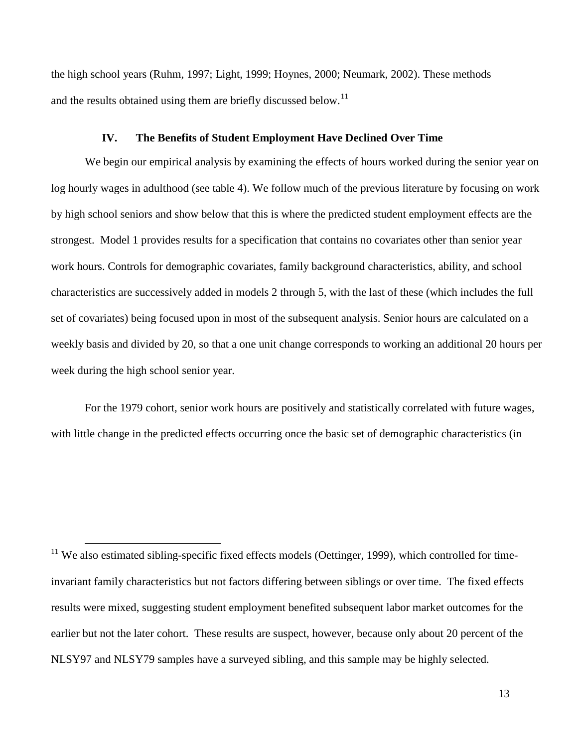the high school years (Ruhm, 1997; Light, 1999; Hoynes, 2000; Neumark, 2002). These methods and the results obtained using them are briefly discussed below.<sup>[11](#page-13-0)</sup>

#### **IV. The Benefits of Student Employment Have Declined Over Time**

We begin our empirical analysis by examining the effects of hours worked during the senior year on log hourly wages in adulthood (see table 4). We follow much of the previous literature by focusing on work by high school seniors and show below that this is where the predicted student employment effects are the strongest. Model 1 provides results for a specification that contains no covariates other than senior year work hours. Controls for demographic covariates, family background characteristics, ability, and school characteristics are successively added in models 2 through 5, with the last of these (which includes the full set of covariates) being focused upon in most of the subsequent analysis. Senior hours are calculated on a weekly basis and divided by 20, so that a one unit change corresponds to working an additional 20 hours per week during the high school senior year.

For the 1979 cohort, senior work hours are positively and statistically correlated with future wages, with little change in the predicted effects occurring once the basic set of demographic characteristics (in

<span id="page-15-0"></span> $11$  We also estimated sibling-specific fixed effects models (Oettinger, 1999), which controlled for timeinvariant family characteristics but not factors differing between siblings or over time. The fixed effects results were mixed, suggesting student employment benefited subsequent labor market outcomes for the earlier but not the later cohort. These results are suspect, however, because only about 20 percent of the NLSY97 and NLSY79 samples have a surveyed sibling, and this sample may be highly selected.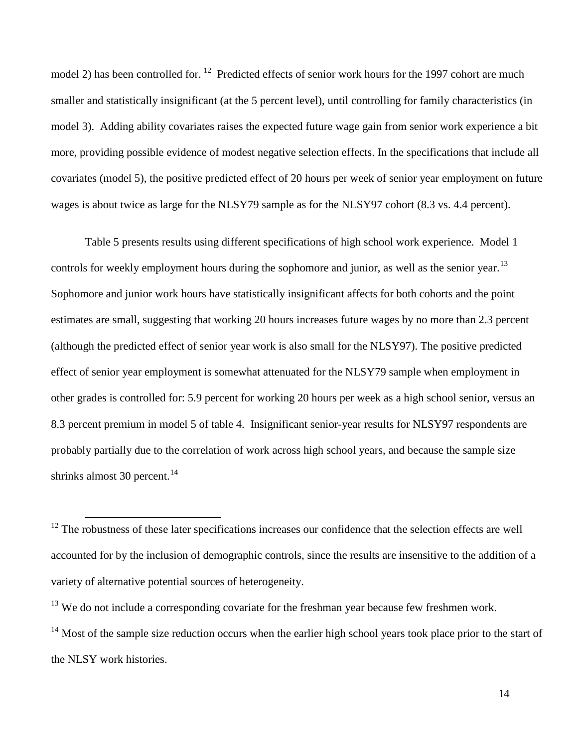model 2) has been controlled for. <sup>[12](#page-15-0)</sup> Predicted effects of senior work hours for the 1997 cohort are much smaller and statistically insignificant (at the 5 percent level), until controlling for family characteristics (in model 3). Adding ability covariates raises the expected future wage gain from senior work experience a bit more, providing possible evidence of modest negative selection effects. In the specifications that include all covariates (model 5), the positive predicted effect of 20 hours per week of senior year employment on future wages is about twice as large for the NLSY79 sample as for the NLSY97 cohort (8.3 vs. 4.4 percent).

Table 5 presents results using different specifications of high school work experience. Model 1 controls for weekly employment hours during the sophomore and junior, as well as the senior year.<sup>[13](#page-16-0)</sup> Sophomore and junior work hours have statistically insignificant affects for both cohorts and the point estimates are small, suggesting that working 20 hours increases future wages by no more than 2.3 percent (although the predicted effect of senior year work is also small for the NLSY97). The positive predicted effect of senior year employment is somewhat attenuated for the NLSY79 sample when employment in other grades is controlled for: 5.9 percent for working 20 hours per week as a high school senior, versus an 8.3 percent premium in model 5 of table 4. Insignificant senior-year results for NLSY97 respondents are probably partially due to the correlation of work across high school years, and because the sample size shrinks almost 30 percent.<sup>[14](#page-16-1)</sup>

 $12$  The robustness of these later specifications increases our confidence that the selection effects are well accounted for by the inclusion of demographic controls, since the results are insensitive to the addition of a variety of alternative potential sources of heterogeneity.

<span id="page-16-0"></span> $13$  We do not include a corresponding covariate for the freshman year because few freshmen work.

<span id="page-16-1"></span> $14$  Most of the sample size reduction occurs when the earlier high school years took place prior to the start of the NLSY work histories.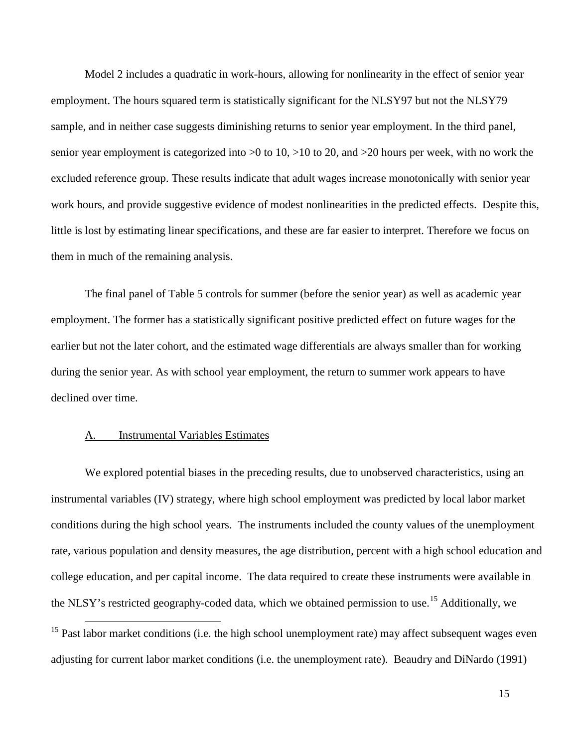Model 2 includes a quadratic in work-hours, allowing for nonlinearity in the effect of senior year employment. The hours squared term is statistically significant for the NLSY97 but not the NLSY79 sample, and in neither case suggests diminishing returns to senior year employment. In the third panel, senior year employment is categorized into  $>0$  to 10,  $>10$  to 20, and  $>20$  hours per week, with no work the excluded reference group. These results indicate that adult wages increase monotonically with senior year work hours, and provide suggestive evidence of modest nonlinearities in the predicted effects. Despite this, little is lost by estimating linear specifications, and these are far easier to interpret. Therefore we focus on them in much of the remaining analysis.

The final panel of Table 5 controls for summer (before the senior year) as well as academic year employment. The former has a statistically significant positive predicted effect on future wages for the earlier but not the later cohort, and the estimated wage differentials are always smaller than for working during the senior year. As with school year employment, the return to summer work appears to have declined over time.

#### A. Instrumental Variables Estimates

We explored potential biases in the preceding results, due to unobserved characteristics, using an instrumental variables (IV) strategy, where high school employment was predicted by local labor market conditions during the high school years. The instruments included the county values of the unemployment rate, various population and density measures, the age distribution, percent with a high school education and college education, and per capital income. The data required to create these instruments were available in the NLSY's restricted geography-coded data, which we obtained permission to use.<sup>[15](#page-16-1)</sup> Additionally, we

<span id="page-17-0"></span> $15$  Past labor market conditions (i.e. the high school unemployment rate) may affect subsequent wages even adjusting for current labor market conditions (i.e. the unemployment rate). Beaudry and DiNardo (1991)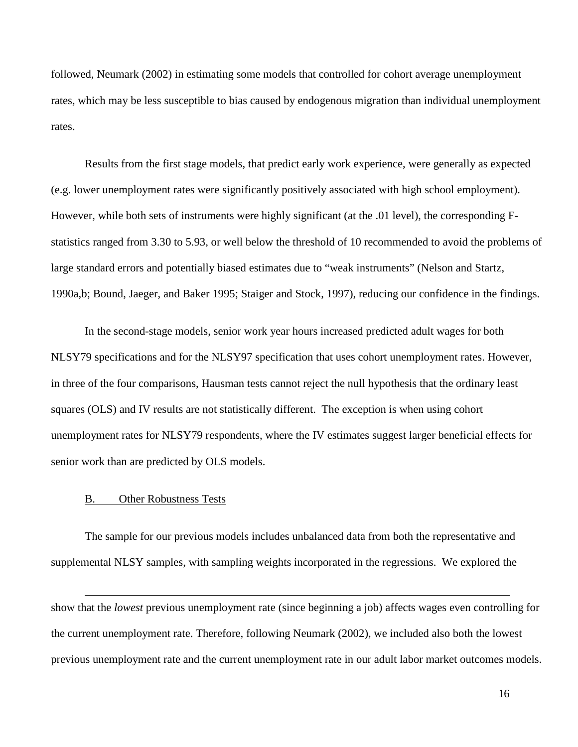followed, Neumark (2002) in estimating some models that controlled for cohort average unemployment rates, which may be less susceptible to bias caused by endogenous migration than individual unemployment rates.

Results from the first stage models, that predict early work experience, were generally as expected (e.g. lower unemployment rates were significantly positively associated with high school employment). However, while both sets of instruments were highly significant (at the .01 level), the corresponding Fstatistics ranged from 3.30 to 5.93, or well below the threshold of 10 recommended to avoid the problems of large standard errors and potentially biased estimates due to "weak instruments" (Nelson and Startz, 1990a,b; Bound, Jaeger, and Baker 1995; Staiger and Stock, 1997), reducing our confidence in the findings.

In the second-stage models, senior work year hours increased predicted adult wages for both NLSY79 specifications and for the NLSY97 specification that uses cohort unemployment rates. However, in three of the four comparisons, Hausman tests cannot reject the null hypothesis that the ordinary least squares (OLS) and IV results are not statistically different. The exception is when using cohort unemployment rates for NLSY79 respondents, where the IV estimates suggest larger beneficial effects for senior work than are predicted by OLS models.

#### B. Other Robustness Tests

 $\overline{a}$ 

The sample for our previous models includes unbalanced data from both the representative and supplemental NLSY samples, with sampling weights incorporated in the regressions. We explored the

show that the *lowest* previous unemployment rate (since beginning a job) affects wages even controlling for the current unemployment rate. Therefore, following Neumark (2002), we included also both the lowest previous unemployment rate and the current unemployment rate in our adult labor market outcomes models.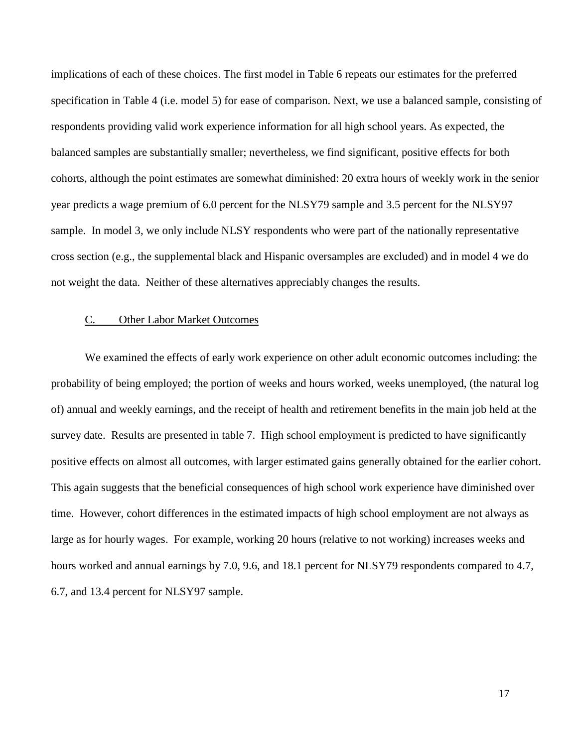implications of each of these choices. The first model in Table 6 repeats our estimates for the preferred specification in Table 4 (i.e. model 5) for ease of comparison. Next, we use a balanced sample, consisting of respondents providing valid work experience information for all high school years. As expected, the balanced samples are substantially smaller; nevertheless, we find significant, positive effects for both cohorts, although the point estimates are somewhat diminished: 20 extra hours of weekly work in the senior year predicts a wage premium of 6.0 percent for the NLSY79 sample and 3.5 percent for the NLSY97 sample. In model 3, we only include NLSY respondents who were part of the nationally representative cross section (e.g., the supplemental black and Hispanic oversamples are excluded) and in model 4 we do not weight the data. Neither of these alternatives appreciably changes the results.

#### C. Other Labor Market Outcomes

We examined the effects of early work experience on other adult economic outcomes including: the probability of being employed; the portion of weeks and hours worked, weeks unemployed, (the natural log of) annual and weekly earnings, and the receipt of health and retirement benefits in the main job held at the survey date. Results are presented in table 7. High school employment is predicted to have significantly positive effects on almost all outcomes, with larger estimated gains generally obtained for the earlier cohort. This again suggests that the beneficial consequences of high school work experience have diminished over time. However, cohort differences in the estimated impacts of high school employment are not always as large as for hourly wages. For example, working 20 hours (relative to not working) increases weeks and hours worked and annual earnings by 7.0, 9.6, and 18.1 percent for NLSY79 respondents compared to 4.7, 6.7, and 13.4 percent for NLSY97 sample.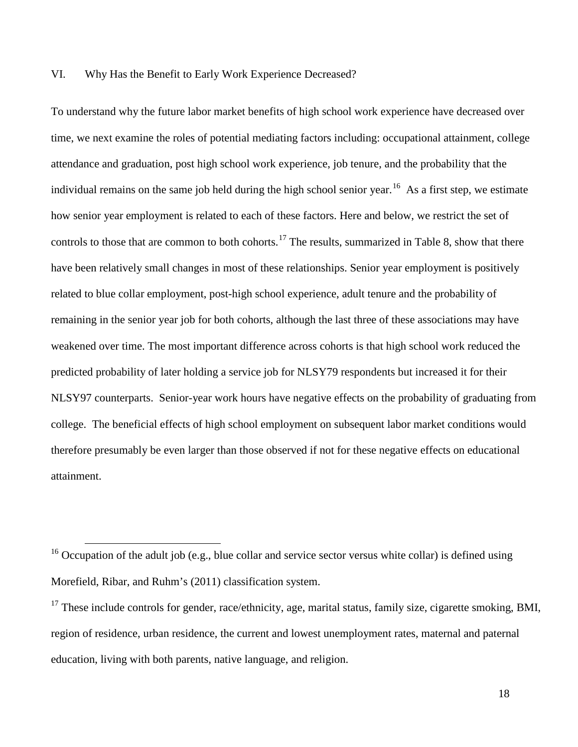#### VI. Why Has the Benefit to Early Work Experience Decreased?

To understand why the future labor market benefits of high school work experience have decreased over time, we next examine the roles of potential mediating factors including: occupational attainment, college attendance and graduation, post high school work experience, job tenure, and the probability that the individual remains on the same job held during the high school senior year.<sup>[16](#page-17-0)</sup> As a first step, we estimate how senior year employment is related to each of these factors. Here and below, we restrict the set of controls to those that are common to both cohorts.<sup>[17](#page-20-0)</sup> The results, summarized in Table 8, show that there have been relatively small changes in most of these relationships. Senior year employment is positively related to blue collar employment, post-high school experience, adult tenure and the probability of remaining in the senior year job for both cohorts, although the last three of these associations may have weakened over time. The most important difference across cohorts is that high school work reduced the predicted probability of later holding a service job for NLSY79 respondents but increased it for their NLSY97 counterparts. Senior-year work hours have negative effects on the probability of graduating from college. The beneficial effects of high school employment on subsequent labor market conditions would therefore presumably be even larger than those observed if not for these negative effects on educational attainment.

<span id="page-20-1"></span><sup>&</sup>lt;sup>16</sup> Occupation of the adult job (e.g., blue collar and service sector versus white collar) is defined using Morefield, Ribar, and Ruhm's (2011) classification system.

<span id="page-20-0"></span> $17$  These include controls for gender, race/ethnicity, age, marital status, family size, cigarette smoking, BMI, region of residence, urban residence, the current and lowest unemployment rates, maternal and paternal education, living with both parents, native language, and religion.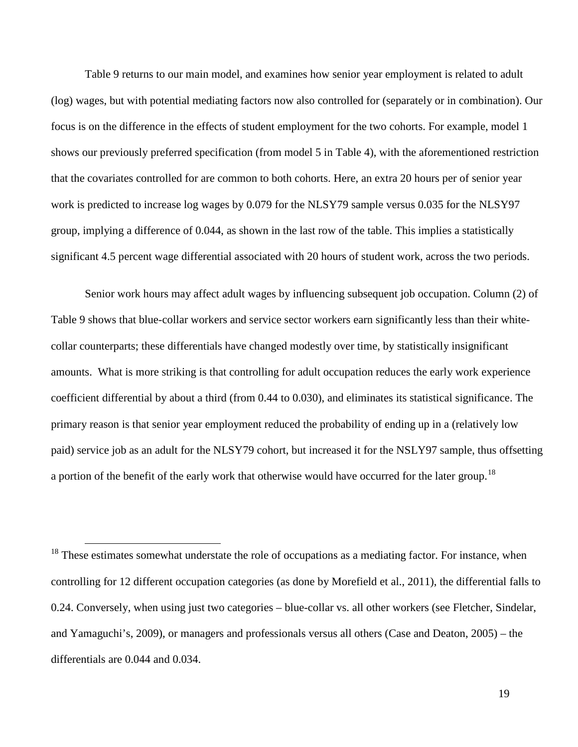Table 9 returns to our main model, and examines how senior year employment is related to adult (log) wages, but with potential mediating factors now also controlled for (separately or in combination). Our focus is on the difference in the effects of student employment for the two cohorts. For example, model 1 shows our previously preferred specification (from model 5 in Table 4), with the aforementioned restriction that the covariates controlled for are common to both cohorts. Here, an extra 20 hours per of senior year work is predicted to increase log wages by 0.079 for the NLSY79 sample versus 0.035 for the NLSY97 group, implying a difference of 0.044, as shown in the last row of the table. This implies a statistically significant 4.5 percent wage differential associated with 20 hours of student work, across the two periods.

Senior work hours may affect adult wages by influencing subsequent job occupation. Column (2) of Table 9 shows that blue-collar workers and service sector workers earn significantly less than their whitecollar counterparts; these differentials have changed modestly over time, by statistically insignificant amounts. What is more striking is that controlling for adult occupation reduces the early work experience coefficient differential by about a third (from 0.44 to 0.030), and eliminates its statistical significance. The primary reason is that senior year employment reduced the probability of ending up in a (relatively low paid) service job as an adult for the NLSY79 cohort, but increased it for the NSLY97 sample, thus offsetting a portion of the benefit of the early work that otherwise would have occurred for the later group.<sup>[18](#page-20-1)</sup>

<span id="page-21-0"></span> $18$  These estimates somewhat understate the role of occupations as a mediating factor. For instance, when controlling for 12 different occupation categories (as done by Morefield et al., 2011), the differential falls to 0.24. Conversely, when using just two categories – blue-collar vs. all other workers (see Fletcher, Sindelar, and Yamaguchi's, 2009), or managers and professionals versus all others (Case and Deaton, 2005) – the differentials are 0.044 and 0.034.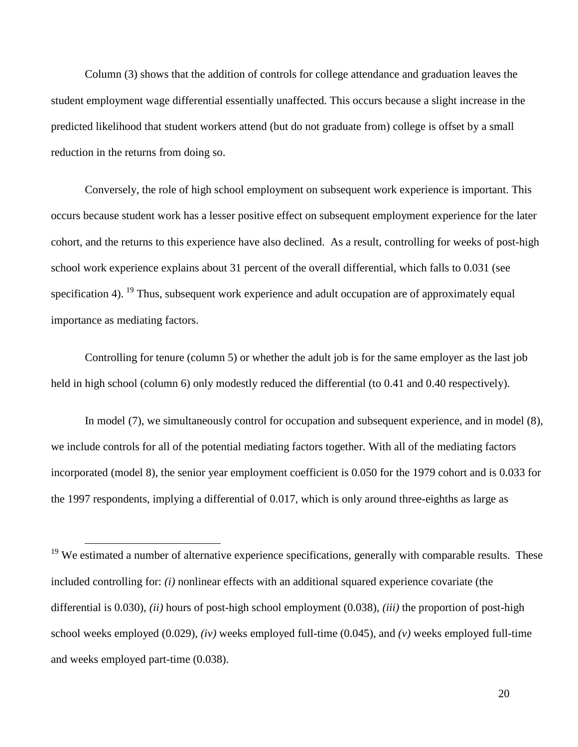Column (3) shows that the addition of controls for college attendance and graduation leaves the student employment wage differential essentially unaffected. This occurs because a slight increase in the predicted likelihood that student workers attend (but do not graduate from) college is offset by a small reduction in the returns from doing so.

Conversely, the role of high school employment on subsequent work experience is important. This occurs because student work has a lesser positive effect on subsequent employment experience for the later cohort, and the returns to this experience have also declined. As a result, controlling for weeks of post-high school work experience explains about 31 percent of the overall differential, which falls to 0.031 (see specification 4). <sup>[19](#page-21-0)</sup> Thus, subsequent work experience and adult occupation are of approximately equal importance as mediating factors.

Controlling for tenure (column 5) or whether the adult job is for the same employer as the last job held in high school (column 6) only modestly reduced the differential (to 0.41 and 0.40 respectively).

<span id="page-22-0"></span>In model (7), we simultaneously control for occupation and subsequent experience, and in model (8), we include controls for all of the potential mediating factors together. With all of the mediating factors incorporated (model 8), the senior year employment coefficient is 0.050 for the 1979 cohort and is 0.033 for the 1997 respondents, implying a differential of 0.017, which is only around three-eighths as large as

 $19$  We estimated a number of alternative experience specifications, generally with comparable results. These included controlling for: *(i)* nonlinear effects with an additional squared experience covariate (the differential is 0.030), *(ii)* hours of post-high school employment (0.038), *(iii)* the proportion of post-high school weeks employed (0.029), *(iv)* weeks employed full-time (0.045), and *(v)* weeks employed full-time and weeks employed part-time (0.038).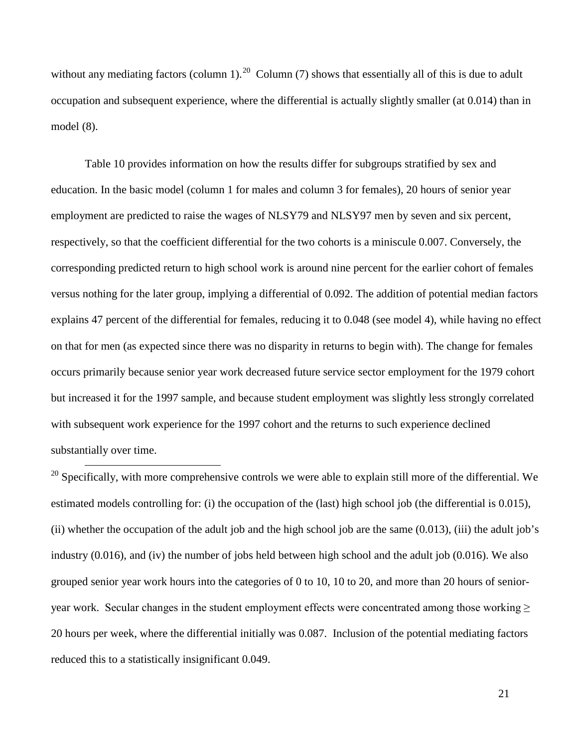without any mediating factors (column 1).<sup>[20](#page-22-0)</sup> Column (7) shows that essentially all of this is due to adult occupation and subsequent experience, where the differential is actually slightly smaller (at 0.014) than in model (8).

Table 10 provides information on how the results differ for subgroups stratified by sex and education. In the basic model (column 1 for males and column 3 for females), 20 hours of senior year employment are predicted to raise the wages of NLSY79 and NLSY97 men by seven and six percent, respectively, so that the coefficient differential for the two cohorts is a miniscule 0.007. Conversely, the corresponding predicted return to high school work is around nine percent for the earlier cohort of females versus nothing for the later group, implying a differential of 0.092. The addition of potential median factors explains 47 percent of the differential for females, reducing it to 0.048 (see model 4), while having no effect on that for men (as expected since there was no disparity in returns to begin with). The change for females occurs primarily because senior year work decreased future service sector employment for the 1979 cohort but increased it for the 1997 sample, and because student employment was slightly less strongly correlated with subsequent work experience for the 1997 cohort and the returns to such experience declined substantially over time.

<span id="page-23-0"></span> $20$  Specifically, with more comprehensive controls we were able to explain still more of the differential. We estimated models controlling for: (i) the occupation of the (last) high school job (the differential is 0.015), (ii) whether the occupation of the adult job and the high school job are the same  $(0.013)$ , (iii) the adult job's industry (0.016), and (iv) the number of jobs held between high school and the adult job (0.016). We also grouped senior year work hours into the categories of 0 to 10, 10 to 20, and more than 20 hours of senioryear work. Secular changes in the student employment effects were concentrated among those working  $\geq$ 20 hours per week, where the differential initially was 0.087. Inclusion of the potential mediating factors reduced this to a statistically insignificant 0.049.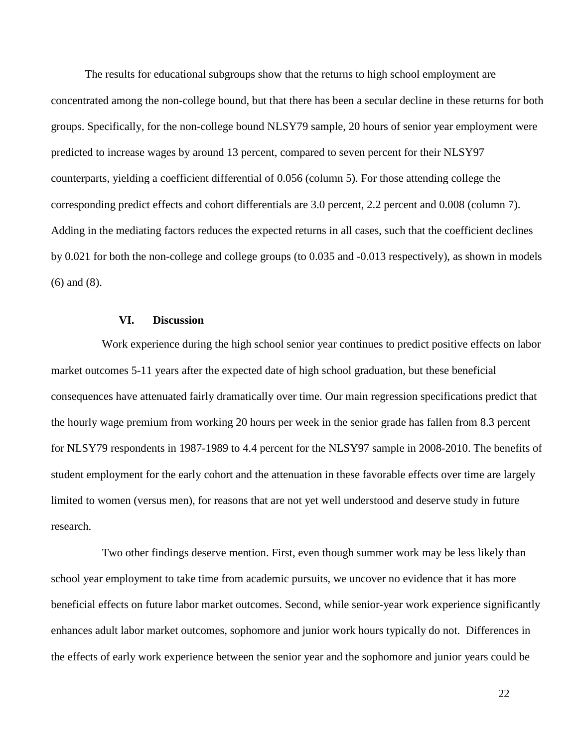The results for educational subgroups show that the returns to high school employment are concentrated among the non-college bound, but that there has been a secular decline in these returns for both groups. Specifically, for the non-college bound NLSY79 sample, 20 hours of senior year employment were predicted to increase wages by around 13 percent, compared to seven percent for their NLSY97 counterparts, yielding a coefficient differential of 0.056 (column 5). For those attending college the corresponding predict effects and cohort differentials are 3.0 percent, 2.2 percent and 0.008 (column 7). Adding in the mediating factors reduces the expected returns in all cases, such that the coefficient declines by 0.021 for both the non-college and college groups (to 0.035 and -0.013 respectively), as shown in models (6) and (8).

#### **VI. Discussion**

Work experience during the high school senior year continues to predict positive effects on labor market outcomes 5-11 years after the expected date of high school graduation, but these beneficial consequences have attenuated fairly dramatically over time. Our main regression specifications predict that the hourly wage premium from working 20 hours per week in the senior grade has fallen from 8.3 percent for NLSY79 respondents in 1987-1989 to 4.4 percent for the NLSY97 sample in 2008-2010. The benefits of student employment for the early cohort and the attenuation in these favorable effects over time are largely limited to women (versus men), for reasons that are not yet well understood and deserve study in future research.

Two other findings deserve mention. First, even though summer work may be less likely than school year employment to take time from academic pursuits, we uncover no evidence that it has more beneficial effects on future labor market outcomes. Second, while senior-year work experience significantly enhances adult labor market outcomes, sophomore and junior work hours typically do not. Differences in the effects of early work experience between the senior year and the sophomore and junior years could be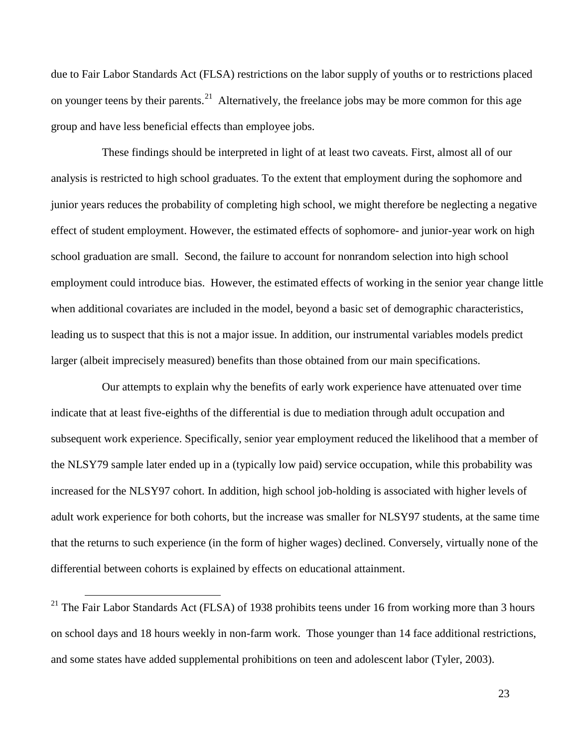due to Fair Labor Standards Act (FLSA) restrictions on the labor supply of youths or to restrictions placed on younger teens by their parents.<sup>[21](#page-23-0)</sup> Alternatively, the freelance jobs may be more common for this age group and have less beneficial effects than employee jobs.

These findings should be interpreted in light of at least two caveats. First, almost all of our analysis is restricted to high school graduates. To the extent that employment during the sophomore and junior years reduces the probability of completing high school, we might therefore be neglecting a negative effect of student employment. However, the estimated effects of sophomore- and junior-year work on high school graduation are small. Second, the failure to account for nonrandom selection into high school employment could introduce bias. However, the estimated effects of working in the senior year change little when additional covariates are included in the model, beyond a basic set of demographic characteristics, leading us to suspect that this is not a major issue. In addition, our instrumental variables models predict larger (albeit imprecisely measured) benefits than those obtained from our main specifications.

Our attempts to explain why the benefits of early work experience have attenuated over time indicate that at least five-eighths of the differential is due to mediation through adult occupation and subsequent work experience. Specifically, senior year employment reduced the likelihood that a member of the NLSY79 sample later ended up in a (typically low paid) service occupation, while this probability was increased for the NLSY97 cohort. In addition, high school job-holding is associated with higher levels of adult work experience for both cohorts, but the increase was smaller for NLSY97 students, at the same time that the returns to such experience (in the form of higher wages) declined. Conversely, virtually none of the differential between cohorts is explained by effects on educational attainment.

<sup>&</sup>lt;sup>21</sup> The Fair Labor Standards Act (FLSA) of 1938 prohibits teens under 16 from working more than 3 hours on school days and 18 hours weekly in non-farm work. Those younger than 14 face additional restrictions, and some states have added supplemental prohibitions on teen and adolescent labor (Tyler, 2003).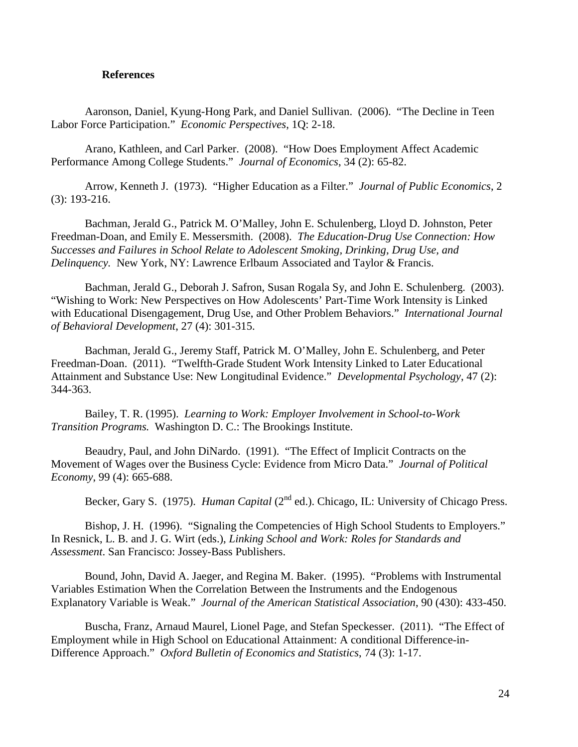#### **References**

Aaronson, Daniel, Kyung-Hong Park, and Daniel Sullivan. (2006). "The Decline in Teen Labor Force Participation." *Economic Perspectives*, 1Q: 2-18.

Arano, Kathleen, and Carl Parker. (2008). "How Does Employment Affect Academic Performance Among College Students." *Journal of Economics*, 34 (2): 65-82.

Arrow, Kenneth J. (1973). "Higher Education as a Filter." *Journal of Public Economics*, 2 (3): 193-216.

Bachman, Jerald G., Patrick M. O'Malley, John E. Schulenberg, Lloyd D. Johnston, Peter Freedman-Doan, and Emily E. Messersmith. (2008). *The Education-Drug Use Connection: How Successes and Failures in School Relate to Adolescent Smoking, Drinking, Drug Use, and Delinquency.* New York, NY: Lawrence Erlbaum Associated and Taylor & Francis.

Bachman, Jerald G., Deborah J. Safron, Susan Rogala Sy, and John E. Schulenberg. (2003). "Wishing to Work: New Perspectives on How Adolescents' Part-Time Work Intensity is Linked with Educational Disengagement, Drug Use, and Other Problem Behaviors." *International Journal of Behavioral Development*, 27 (4): 301-315.

Bachman, Jerald G., Jeremy Staff, Patrick M. O'Malley, John E. Schulenberg, and Peter Freedman-Doan. (2011). "Twelfth-Grade Student Work Intensity Linked to Later Educational Attainment and Substance Use: New Longitudinal Evidence." *Developmental Psychology*, 47 (2): 344-363.

Bailey, T. R. (1995). *Learning to Work: Employer Involvement in School-to-Work Transition Programs.* Washington D. C.: The Brookings Institute.

Beaudry, Paul, and John DiNardo. (1991). "The Effect of Implicit Contracts on the Movement of Wages over the Business Cycle: Evidence from Micro Data." *Journal of Political Economy*, 99 (4): 665-688.

Becker, Gary S. (1975). *Human Capital* (2<sup>nd</sup> ed.). Chicago, IL: University of Chicago Press.

Bishop, J. H. (1996). "Signaling the Competencies of High School Students to Employers." In Resnick, L. B. and J. G. Wirt (eds.), *Linking School and Work: Roles for Standards and Assessment*. San Francisco: Jossey-Bass Publishers.

<span id="page-26-0"></span>Bound, John, David A. Jaeger, and Regina M. Baker. (1995). "Problems with Instrumental Variables Estimation When the Correlation Between the Instruments and the Endogenous Explanatory Variable is Weak." *Journal of the American Statistical Association*, 90 (430): 433-450.

Buscha, Franz, Arnaud Maurel, Lionel Page, and Stefan Speckesser. (2011). "The Effect of Employment while in High School on Educational Attainment: A conditional Difference-in-Difference Approach." *Oxford Bulletin of Economics and Statistics*, 74 (3): 1-17.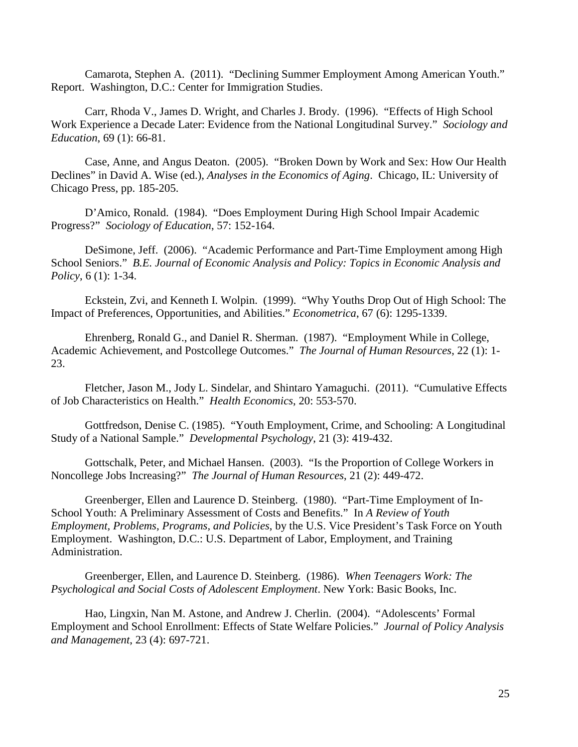Camarota, Stephen A. (2011). "Declining Summer Employment Among American Youth." Report. Washington, D.C.: Center for Immigration Studies.

Carr, Rhoda V., James D. Wright, and Charles J. Brody. (1996). "Effects of High School Work Experience a Decade Later: Evidence from the National Longitudinal Survey." *Sociology and Education*, 69 (1): 66-81.

Case, Anne, and Angus Deaton. (2005). "Broken Down by Work and Sex: How Our Health Declines" in David A. Wise (ed.), *Analyses in the Economics of Aging*. Chicago, IL: University of Chicago Press, pp. 185-205.

D'Amico, Ronald. (1984). "Does Employment During High School Impair Academic Progress?" *Sociology of Education*, 57: 152-164.

DeSimone, Jeff. (2006). "Academic Performance and Part-Time Employment among High School Seniors." *B.E. Journal of Economic Analysis and Policy: Topics in Economic Analysis and Policy*, 6 (1): 1-34.

Eckstein, Zvi, and Kenneth I. Wolpin. (1999). "Why Youths Drop Out of High School: The Impact of Preferences, Opportunities, and Abilities." *Econometrica*, 67 (6): 1295-1339.

Ehrenberg, Ronald G., and Daniel R. Sherman. (1987). "Employment While in College, Academic Achievement, and Postcollege Outcomes." *The Journal of Human Resources*, 22 (1): 1- 23.

Fletcher, Jason M., Jody L. Sindelar, and Shintaro Yamaguchi. (2011). "Cumulative Effects of Job Characteristics on Health." *Health Economics*, 20: 553-570.

Gottfredson, Denise C. (1985). "Youth Employment, Crime, and Schooling: A Longitudinal Study of a National Sample." *Developmental Psychology*, 21 (3): 419-432.

Gottschalk, Peter, and Michael Hansen. (2003). "Is the Proportion of College Workers in Noncollege Jobs Increasing?" *The Journal of Human Resources*, 21 (2): 449-472.

Greenberger, Ellen and Laurence D. Steinberg. (1980). "Part-Time Employment of In-School Youth: A Preliminary Assessment of Costs and Benefits." In *A Review of Youth Employment, Problems, Programs, and Policies*, by the U.S. Vice President's Task Force on Youth Employment. Washington, D.C.: U.S. Department of Labor, Employment, and Training Administration.

Greenberger, Ellen, and Laurence D. Steinberg. (1986). *When Teenagers Work: The Psychological and Social Costs of Adolescent Employment*. New York: Basic Books, Inc.

Hao, Lingxin, Nan M. Astone, and Andrew J. Cherlin. (2004). "Adolescents' Formal Employment and School Enrollment: Effects of State Welfare Policies." *Journal of Policy Analysis and Management*, 23 (4): 697-721.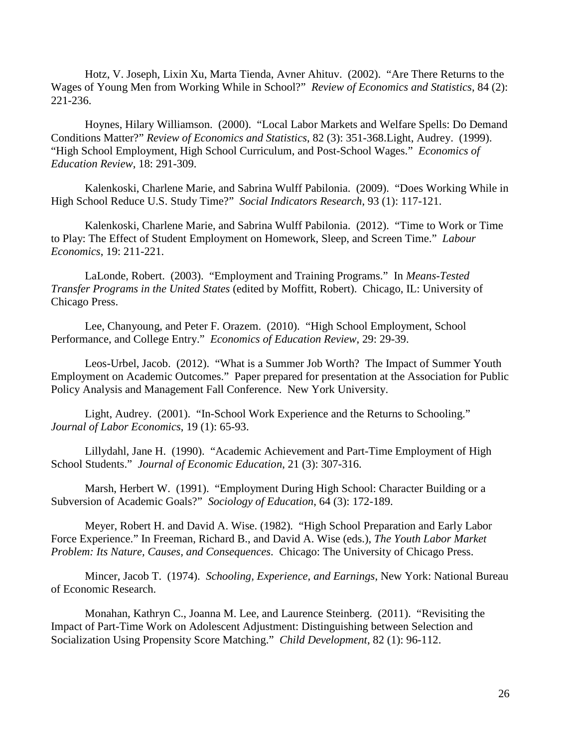Hotz, V. Joseph, Lixin Xu, Marta Tienda, Avner Ahituv. (2002). "Are There Returns to the Wages of Young Men from Working While in School?" *Review of Economics and Statistics*, 84 (2): 221-236.

Hoynes, Hilary Williamson. (2000). "Local Labor Markets and Welfare Spells: Do Demand Conditions Matter?" *Review of Economics and Statistics*, 82 (3): 351-368.Light, Audrey. (1999). "High School Employment, High School Curriculum, and Post-School Wages." *Economics of Education Review*, 18: 291-309.

Kalenkoski, Charlene Marie, and Sabrina Wulff Pabilonia. (2009). "Does Working While in High School Reduce U.S. Study Time?" *Social Indicators Research*, 93 (1): 117-121.

Kalenkoski, Charlene Marie, and Sabrina Wulff Pabilonia. (2012). "Time to Work or Time to Play: The Effect of Student Employment on Homework, Sleep, and Screen Time." *Labour Economics*, 19: 211-221.

LaLonde, Robert. (2003). "Employment and Training Programs." In *Means-Tested Transfer Programs in the United States* (edited by Moffitt, Robert). Chicago, IL: University of Chicago Press.

Lee, Chanyoung, and Peter F. Orazem. (2010). "High School Employment, School Performance, and College Entry." *Economics of Education Review*, 29: 29-39.

Leos-Urbel, Jacob. (2012). "What is a Summer Job Worth? The Impact of Summer Youth Employment on Academic Outcomes." Paper prepared for presentation at the Association for Public Policy Analysis and Management Fall Conference. New York University.

Light, Audrey. (2001). "In-School Work Experience and the Returns to Schooling." *Journal of Labor Economics*, 19 (1): 65-93.

Lillydahl, Jane H. (1990). "Academic Achievement and Part-Time Employment of High School Students." *Journal of Economic Education*, 21 (3): 307-316.

Marsh, Herbert W. (1991). "Employment During High School: Character Building or a Subversion of Academic Goals?" *Sociology of Education*, 64 (3): 172-189.

Meyer, Robert H. and David A. Wise. (1982). "High School Preparation and Early Labor Force Experience." In Freeman, Richard B., and David A. Wise (eds.), *The Youth Labor Market Problem: Its Nature, Causes, and Consequences*. Chicago: The University of Chicago Press.

Mincer, Jacob T. (1974). *Schooling, Experience, and Earnings*, New York: National Bureau of Economic Research.

Monahan, Kathryn C., Joanna M. Lee, and Laurence Steinberg. (2011). "Revisiting the Impact of Part-Time Work on Adolescent Adjustment: Distinguishing between Selection and Socialization Using Propensity Score Matching." *Child Development*, 82 (1): 96-112.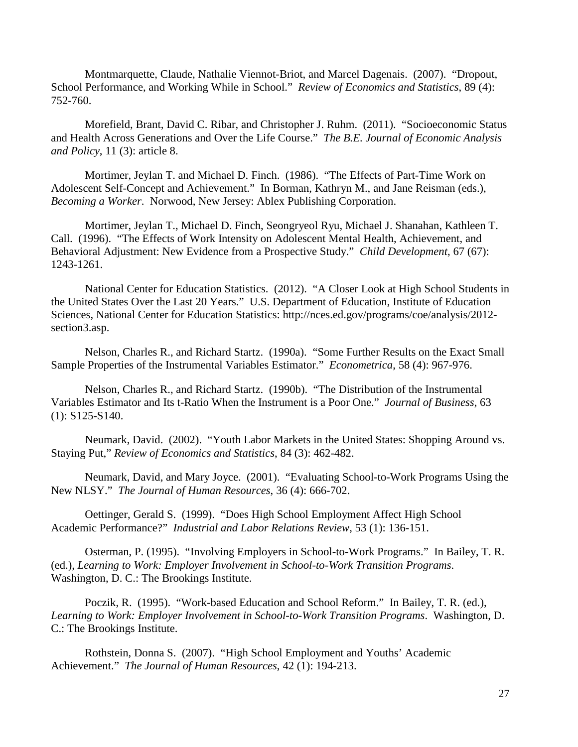Montmarquette, Claude, Nathalie Viennot-Briot, and Marcel Dagenais. (2007). "Dropout, School Performance, and Working While in School." *Review of Economics and Statistics*, 89 (4): 752-760.

Morefield, Brant, David C. Ribar, and Christopher J. Ruhm. (2011). "Socioeconomic Status and Health Across Generations and Over the Life Course." *The B.E. Journal of Economic Analysis and Policy*, 11 (3): article 8.

Mortimer, Jeylan T. and Michael D. Finch. (1986). "The Effects of Part-Time Work on Adolescent Self-Concept and Achievement." In Borman, Kathryn M., and Jane Reisman (eds.), *Becoming a Worker*. Norwood, New Jersey: Ablex Publishing Corporation.

Mortimer, Jeylan T., Michael D. Finch, Seongryeol Ryu, Michael J. Shanahan, Kathleen T. Call. (1996). "The Effects of Work Intensity on Adolescent Mental Health, Achievement, and Behavioral Adjustment: New Evidence from a Prospective Study." *Child Development*, 67 (67): 1243-1261.

National Center for Education Statistics. (2012). "A Closer Look at High School Students in the United States Over the Last 20 Years." U.S. Department of Education, Institute of Education Sciences, National Center for Education Statistics: http://nces.ed.gov/programs/coe/analysis/2012 section3.asp.

Nelson, Charles R., and Richard Startz. (1990a). "Some Further Results on the Exact Small Sample Properties of the Instrumental Variables Estimator." *Econometrica*, 58 (4): 967-976.

Nelson, Charles R., and Richard Startz. (1990b). "The Distribution of the Instrumental Variables Estimator and Its t-Ratio When the Instrument is a Poor One." *Journal of Business*, 63 (1): S125-S140.

Neumark, David. (2002). "Youth Labor Markets in the United States: Shopping Around vs. Staying Put," *Review of Economics and Statistics*, 84 (3): 462-482.

Neumark, David, and Mary Joyce. (2001). "Evaluating School-to-Work Programs Using the New NLSY." *The Journal of Human Resources*, 36 (4): 666-702.

Oettinger, Gerald S. (1999). "Does High School Employment Affect High School Academic Performance?" *Industrial and Labor Relations Review*, 53 (1): 136-151.

Osterman, P. (1995). "Involving Employers in School-to-Work Programs." In Bailey, T. R. (ed.), *Learning to Work: Employer Involvement in School-to-Work Transition Programs*. Washington, D. C.: The Brookings Institute.

Poczik, R. (1995). "Work-based Education and School Reform." In Bailey, T. R. (ed.), *Learning to Work: Employer Involvement in School-to-Work Transition Programs*. Washington, D. C.: The Brookings Institute.

Rothstein, Donna S. (2007). "High School Employment and Youths' Academic Achievement." *The Journal of Human Resources*, 42 (1): 194-213.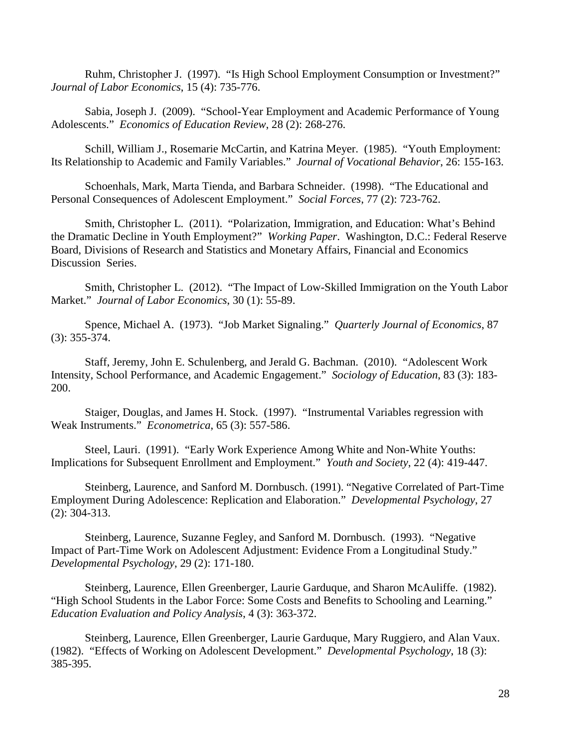Ruhm, Christopher J. (1997). "Is High School Employment Consumption or Investment?" *Journal of Labor Economics*, 15 (4): 735-776.

Sabia, Joseph J. (2009). "School-Year Employment and Academic Performance of Young Adolescents." *Economics of Education Review*, 28 (2): 268-276.

Schill, William J., Rosemarie McCartin, and Katrina Meyer. (1985). "Youth Employment: Its Relationship to Academic and Family Variables." *Journal of Vocational Behavior*, 26: 155-163.

Schoenhals, Mark, Marta Tienda, and Barbara Schneider. (1998). "The Educational and Personal Consequences of Adolescent Employment." *Social Forces*, 77 (2): 723-762.

Smith, Christopher L. (2011). "Polarization, Immigration, and Education: What's Behind the Dramatic Decline in Youth Employment?" *Working Paper*. Washington, D.C.: Federal Reserve Board, Divisions of Research and Statistics and Monetary Affairs, Financial and Economics Discussion Series.

Smith, Christopher L. (2012). "The Impact of Low-Skilled Immigration on the Youth Labor Market." *Journal of Labor Economics*, 30 (1): 55-89.

Spence, Michael A. (1973). "Job Market Signaling." *Quarterly Journal of Economics*, 87 (3): 355-374.

Staff, Jeremy, John E. Schulenberg, and Jerald G. Bachman. (2010). "Adolescent Work Intensity, School Performance, and Academic Engagement." *Sociology of Education*, 83 (3): 183- 200.

Staiger, Douglas, and James H. Stock. (1997). "Instrumental Variables regression with Weak Instruments." *Econometrica*, 65 (3): 557-586.

Steel, Lauri. (1991). "Early Work Experience Among White and Non-White Youths: Implications for Subsequent Enrollment and Employment." *Youth and Society*, 22 (4): 419-447.

Steinberg, Laurence, and Sanford M. Dornbusch. (1991). "Negative Correlated of Part-Time Employment During Adolescence: Replication and Elaboration." *Developmental Psychology*, 27 (2): 304-313.

Steinberg, Laurence, Suzanne Fegley, and Sanford M. Dornbusch. (1993). "Negative Impact of Part-Time Work on Adolescent Adjustment: Evidence From a Longitudinal Study." *Developmental Psychology*, 29 (2): 171-180.

Steinberg, Laurence, Ellen Greenberger, Laurie Garduque, and Sharon McAuliffe. (1982). "High School Students in the Labor Force: Some Costs and Benefits to Schooling and Learning." *Education Evaluation and Policy Analysis*, 4 (3): 363-372.

Steinberg, Laurence, Ellen Greenberger, Laurie Garduque, Mary Ruggiero, and Alan Vaux. (1982). "Effects of Working on Adolescent Development." *Developmental Psychology*, 18 (3): 385-395.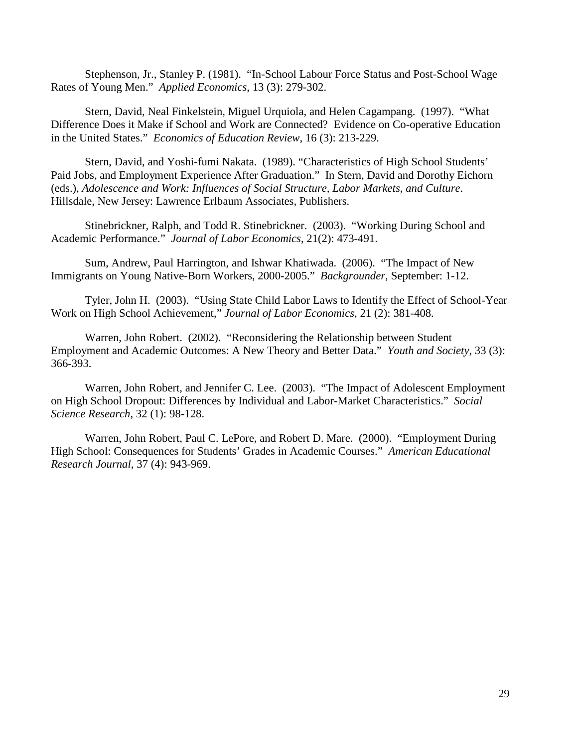Stephenson, Jr., Stanley P. (1981). "In-School Labour Force Status and Post-School Wage Rates of Young Men." *Applied Economics*, 13 (3): 279-302.

Stern, David, Neal Finkelstein, Miguel Urquiola, and Helen Cagampang. (1997). "What Difference Does it Make if School and Work are Connected? Evidence on Co-operative Education in the United States." *Economics of Education Review*, 16 (3): 213-229.

Stern, David, and Yoshi-fumi Nakata. (1989). "Characteristics of High School Students' Paid Jobs, and Employment Experience After Graduation." In Stern, David and Dorothy Eichorn (eds.), *Adolescence and Work: Influences of Social Structure, Labor Markets, and Culture*. Hillsdale, New Jersey: Lawrence Erlbaum Associates, Publishers.

Stinebrickner, Ralph, and Todd R. Stinebrickner. (2003). "Working During School and Academic Performance." *Journal of Labor Economics*, 21(2): 473-491.

Sum, Andrew, Paul Harrington, and Ishwar Khatiwada. (2006). "The Impact of New Immigrants on Young Native-Born Workers, 2000-2005." *Backgrounder*, September: 1-12.

Tyler, John H. (2003). "Using State Child Labor Laws to Identify the Effect of School-Year Work on High School Achievement," *Journal of Labor Economics*, 21 (2): 381-408.

Warren, John Robert. (2002). "Reconsidering the Relationship between Student Employment and Academic Outcomes: A New Theory and Better Data." *Youth and Society*, 33 (3): 366-393.

Warren, John Robert, and Jennifer C. Lee. (2003). "The Impact of Adolescent Employment on High School Dropout: Differences by Individual and Labor-Market Characteristics." *Social Science Research*, 32 (1): 98-128.

Warren, John Robert, Paul C. LePore, and Robert D. Mare. (2000). "Employment During High School: Consequences for Students' Grades in Academic Courses." *American Educational Research Journal*, 37 (4): 943-969.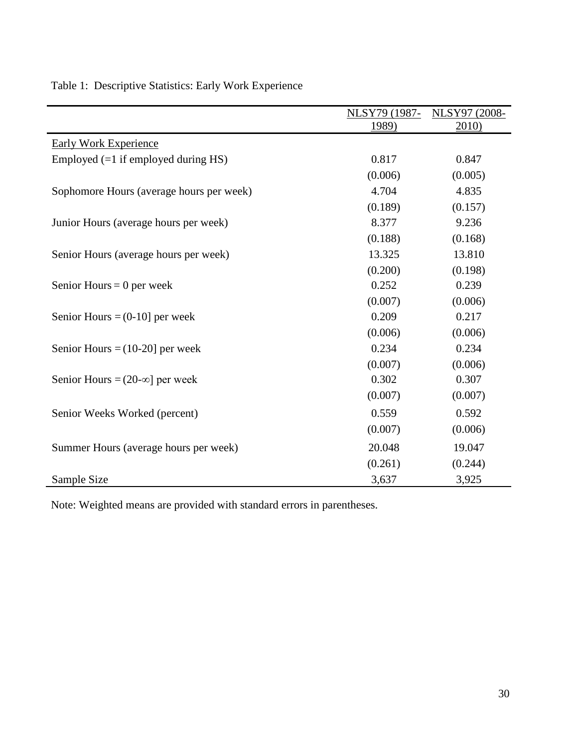|                                          | NLSY79 (1987- | NLSY97 (2008- |
|------------------------------------------|---------------|---------------|
|                                          | <u>1989)</u>  | 2010          |
| <b>Early Work Experience</b>             |               |               |
| Employed $(=1$ if employed during $HS$ ) | 0.817         | 0.847         |
|                                          | (0.006)       | (0.005)       |
| Sophomore Hours (average hours per week) | 4.704         | 4.835         |
|                                          | (0.189)       | (0.157)       |
| Junior Hours (average hours per week)    | 8.377         | 9.236         |
|                                          | (0.188)       | (0.168)       |
| Senior Hours (average hours per week)    | 13.325        | 13.810        |
|                                          | (0.200)       | (0.198)       |
| Senior Hours = $0$ per week              | 0.252         | 0.239         |
|                                          | (0.007)       | (0.006)       |
| Senior Hours = $(0-10)$ per week         | 0.209         | 0.217         |
|                                          | (0.006)       | (0.006)       |
| Senior Hours = $(10-20)$ per week        | 0.234         | 0.234         |
|                                          | (0.007)       | (0.006)       |
| Senior Hours = $(20-\infty)$ per week    | 0.302         | 0.307         |
|                                          | (0.007)       | (0.007)       |
| Senior Weeks Worked (percent)            | 0.559         | 0.592         |
|                                          | (0.007)       | (0.006)       |
| Summer Hours (average hours per week)    | 20.048        | 19.047        |
|                                          | (0.261)       | (0.244)       |
| Sample Size                              | 3,637         | 3,925         |

Table 1: Descriptive Statistics: Early Work Experience

Note: Weighted means are provided with standard errors in parentheses.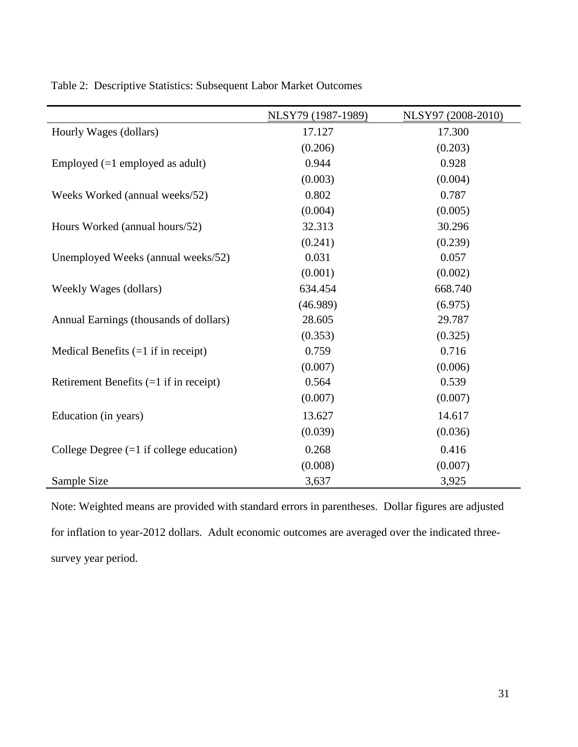|                                            | NLSY79 (1987-1989) | NLSY97 (2008-2010) |
|--------------------------------------------|--------------------|--------------------|
| Hourly Wages (dollars)                     | 17.127             | 17.300             |
|                                            | (0.206)            | (0.203)            |
| Employed $(=1$ employed as adult)          | 0.944              | 0.928              |
|                                            | (0.003)            | (0.004)            |
| Weeks Worked (annual weeks/52)             | 0.802              | 0.787              |
|                                            | (0.004)            | (0.005)            |
| Hours Worked (annual hours/52)             | 32.313             | 30.296             |
|                                            | (0.241)            | (0.239)            |
| Unemployed Weeks (annual weeks/52)         | 0.031              | 0.057              |
|                                            | (0.001)            | (0.002)            |
| <b>Weekly Wages (dollars)</b>              | 634.454            | 668.740            |
|                                            | (46.989)           | (6.975)            |
| Annual Earnings (thousands of dollars)     | 28.605             | 29.787             |
|                                            | (0.353)            | (0.325)            |
| Medical Benefits $(=1$ if in receipt)      | 0.759              | 0.716              |
|                                            | (0.007)            | (0.006)            |
| Retirement Benefits $(=1$ if in receipt)   | 0.564              | 0.539              |
|                                            | (0.007)            | (0.007)            |
| Education (in years)                       | 13.627             | 14.617             |
|                                            | (0.039)            | (0.036)            |
| College Degree $(=1$ if college education) | 0.268              | 0.416              |
|                                            | (0.008)            | (0.007)            |
| Sample Size                                | 3,637              | 3,925              |

Table 2: Descriptive Statistics: Subsequent Labor Market Outcomes

j.

Note: Weighted means are provided with standard errors in parentheses. Dollar figures are adjusted for inflation to year-2012 dollars. Adult economic outcomes are averaged over the indicated threesurvey year period.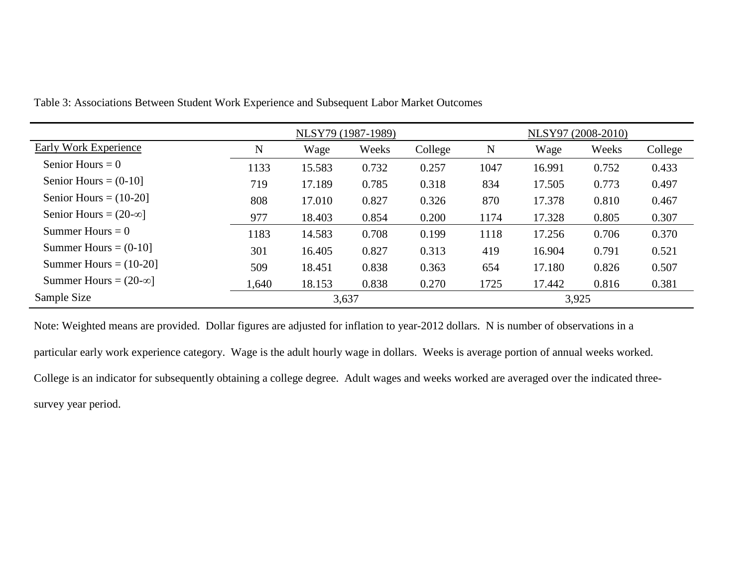|                              | NLSY79 (1987-1989) |        |       |         |      | NLSY97 (2008-2010) |       |         |
|------------------------------|--------------------|--------|-------|---------|------|--------------------|-------|---------|
| <b>Early Work Experience</b> | N                  | Wage   | Weeks | College | N    | Wage               | Weeks | College |
| Senior Hours = $0$           | 1133               | 15.583 | 0.732 | 0.257   | 1047 | 16.991             | 0.752 | 0.433   |
| Senior Hours = $(0-10]$      | 719                | 17.189 | 0.785 | 0.318   | 834  | 17.505             | 0.773 | 0.497   |
| Senior Hours = $(10-20)$     | 808                | 17.010 | 0.827 | 0.326   | 870  | 17.378             | 0.810 | 0.467   |
| Senior Hours = $(20-\infty)$ | 977                | 18.403 | 0.854 | 0.200   | 1174 | 17.328             | 0.805 | 0.307   |
| Summer Hours $= 0$           | 1183               | 14.583 | 0.708 | 0.199   | 1118 | 17.256             | 0.706 | 0.370   |
| Summer Hours = $(0-10)$      | 301                | 16.405 | 0.827 | 0.313   | 419  | 16.904             | 0.791 | 0.521   |
| Summer Hours = $(10-20)$     | 509                | 18.451 | 0.838 | 0.363   | 654  | 17.180             | 0.826 | 0.507   |
| Summer Hours = $(20-\infty)$ | 1,640              | 18.153 | 0.838 | 0.270   | 1725 | 17.442             | 0.816 | 0.381   |
| Sample Size                  | 3,637              |        |       |         |      | 3,925              |       |         |

Table 3: Associations Between Student Work Experience and Subsequent Labor Market Outcomes

Note: Weighted means are provided. Dollar figures are adjusted for inflation to year-2012 dollars. N is number of observations in a particular early work experience category. Wage is the adult hourly wage in dollars. Weeks is average portion of annual weeks worked. College is an indicator for subsequently obtaining a college degree. Adult wages and weeks worked are averaged over the indicated threesurvey year period.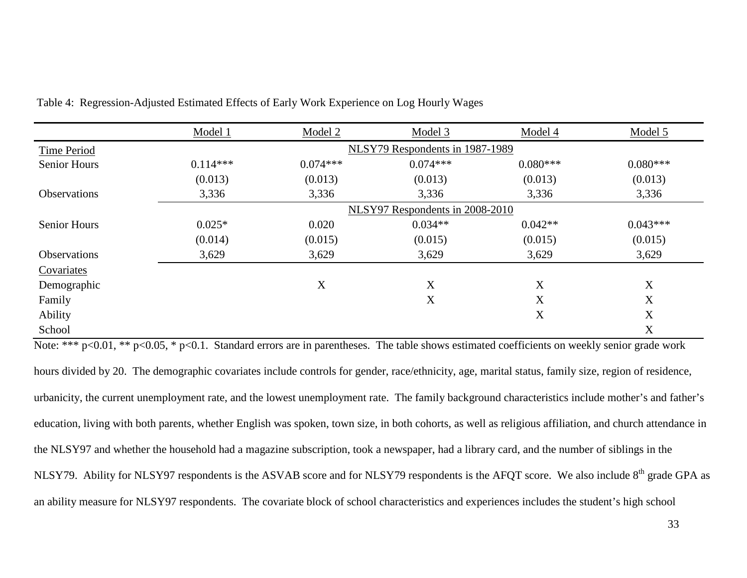|                     | Model 1                         | Model 2    | Model 3                         | Model 4    | Model 5          |  |  |  |  |
|---------------------|---------------------------------|------------|---------------------------------|------------|------------------|--|--|--|--|
| Time Period         | NLSY79 Respondents in 1987-1989 |            |                                 |            |                  |  |  |  |  |
| Senior Hours        | $0.114***$                      | $0.074***$ | $0.074***$                      | $0.080***$ | $0.080***$       |  |  |  |  |
|                     | (0.013)                         | (0.013)    | (0.013)                         | (0.013)    | (0.013)          |  |  |  |  |
| <b>Observations</b> | 3,336                           | 3,336      | 3,336                           | 3,336      | 3,336            |  |  |  |  |
|                     |                                 |            | NLSY97 Respondents in 2008-2010 |            |                  |  |  |  |  |
| <b>Senior Hours</b> | $0.025*$                        | 0.020      | $0.034**$                       | $0.042**$  | $0.043***$       |  |  |  |  |
|                     | (0.014)                         | (0.015)    | (0.015)                         | (0.015)    | (0.015)          |  |  |  |  |
| <b>Observations</b> | 3,629                           | 3,629      | 3,629                           | 3,629      | 3,629            |  |  |  |  |
| Covariates          |                                 |            |                                 |            |                  |  |  |  |  |
| Demographic         |                                 | X          | X                               | X          | $\boldsymbol{X}$ |  |  |  |  |
| Family              |                                 |            | X                               | X          | $\boldsymbol{X}$ |  |  |  |  |
| Ability             |                                 |            |                                 | X          | $\boldsymbol{X}$ |  |  |  |  |
| School              |                                 |            |                                 |            | $\mathbf X$      |  |  |  |  |

Table 4: Regression-Adjusted Estimated Effects of Early Work Experience on Log Hourly Wages

Note: \*\*\* p<0.01, \*\* p<0.05, \* p<0.1. Standard errors are in parentheses. The table shows estimated coefficients on weekly senior grade work hours divided by 20. The demographic covariates include controls for gender, race/ethnicity, age, marital status, family size, region of residence, urbanicity, the current unemployment rate, and the lowest unemployment rate. The family background characteristics include mother's and father's education, living with both parents, whether English was spoken, town size, in both cohorts, as well as religious affiliation, and church attendance in the NLSY97 and whether the household had a magazine subscription, took a newspaper, had a library card, and the number of siblings in the NLSY79. Ability for NLSY97 respondents is the ASVAB score and for NLSY79 respondents is the AFQT score. We also include 8<sup>th</sup> grade GPA as an ability measure for NLSY97 respondents. The covariate block of school characteristics and experiences includes the student's high school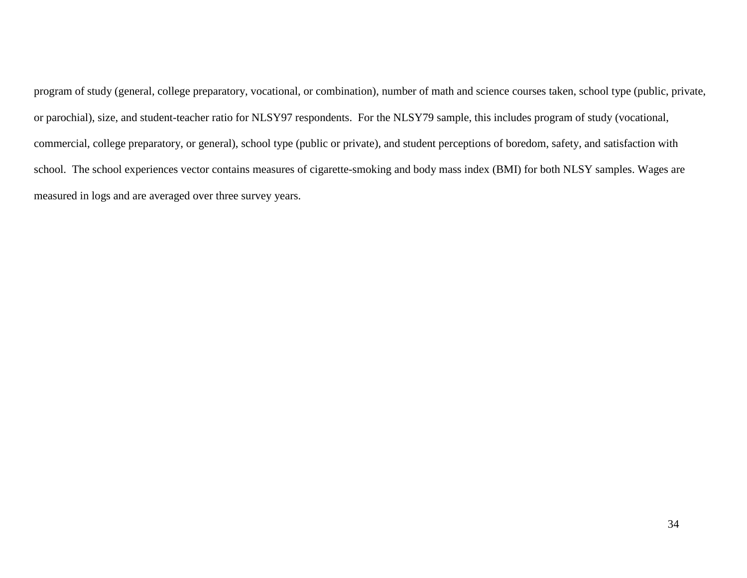program of study (general, college preparatory, vocational, or combination), number of math and science courses taken, school type (public, private, or parochial), size, and student-teacher ratio for NLSY97 respondents. For the NLSY79 sample, this includes program of study (vocational, commercial, college preparatory, or general), school type (public or private), and student perceptions of boredom, safety, and satisfaction with school. The school experiences vector contains measures of cigarette-smoking and body mass index (BMI) for both NLSY samples. Wages are measured in logs and are averaged over three survey years.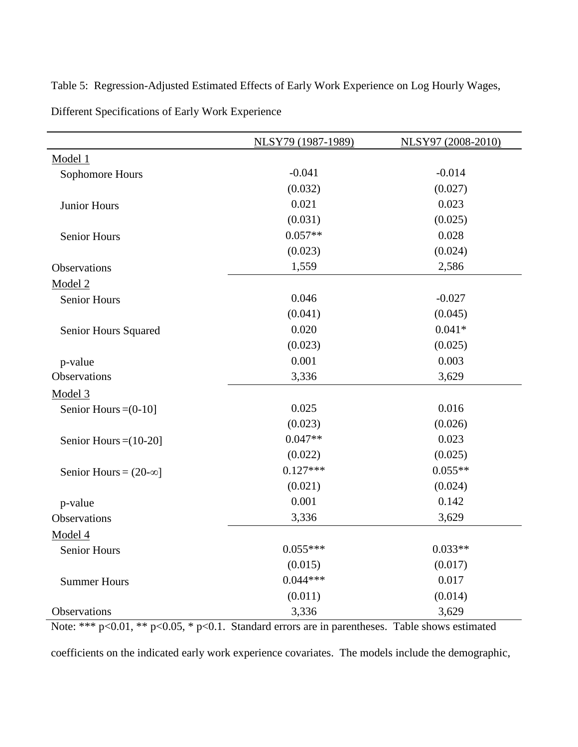NLSY79 (1987-1989) NLSY97 (2008-2010) Model 1 Sophomore Hours -0.041 -0.014  $(0.032)$   $(0.027)$ Junior Hours 0.021 0.023  $(0.031)$   $(0.025)$ Senior Hours 0.057<sup>\*\*</sup> 0.028  $(0.023)$   $(0.024)$ Observations 1,559 2,586 Model 2 Senior Hours 0.046 -0.027  $(0.041)$   $(0.045)$ Senior Hours Squared 0.020 0.041\*  $(0.023)$   $(0.025)$ p-value 0.001 0.003 Observations 3,336 3,629 Model 3 Senior Hours =  $(0-10)$  0.025 0.016  $(0.023)$   $(0.026)$ Senior Hours =  $(10-20)$  0.047\*\* 0.023  $(0.022)$   $(0.025)$ Senior Hours =  $(20-\infty)$  0.127\*\*\* 0.055\*\*  $(0.021)$   $(0.024)$ p-value 0.001 0.142 Observations 3,336 3,629 Model 4 Senior Hours 0.055\*\*\* 0.033\*\*  $(0.015)$   $(0.017)$ Summer Hours 0.044\*\*\* 0.017  $(0.011)$   $(0.014)$ Observations 3,336 3,629

Table 5: Regression-Adjusted Estimated Effects of Early Work Experience on Log Hourly Wages, Different Specifications of Early Work Experience

Note: \*\*\* p<0.01, \*\* p<0.05, \* p<0.1. Standard errors are in parentheses. Table shows estimated

coefficients on the indicated early work experience covariates. The models include the demographic,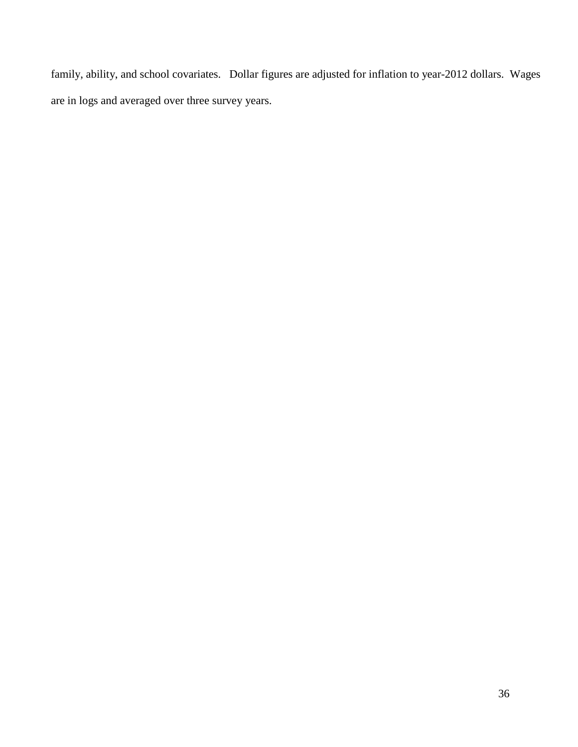family, ability, and school covariates. Dollar figures are adjusted for inflation to year-2012 dollars. Wages are in logs and averaged over three survey years.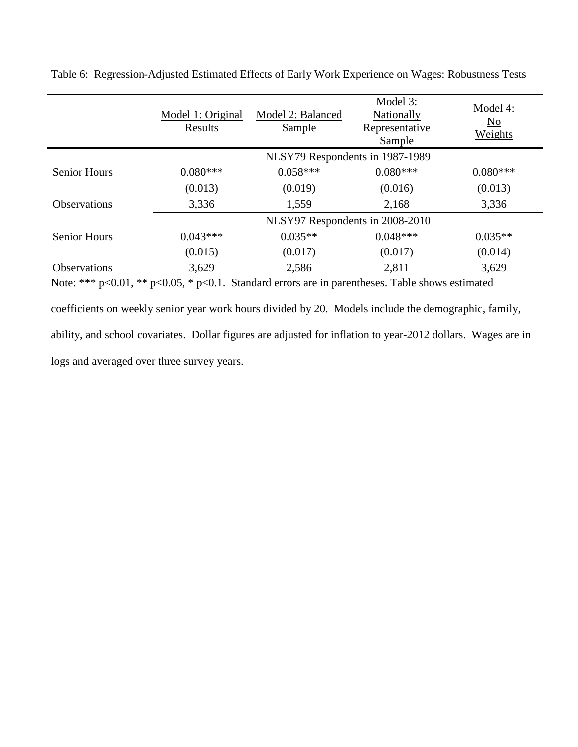|                     | Model 1: Original<br>Results | Model 2: Balanced<br><b>Sample</b> | Model 3:<br>Nationally<br>Representative<br>Sample | Model 4:<br>No<br>Weights |
|---------------------|------------------------------|------------------------------------|----------------------------------------------------|---------------------------|
|                     |                              | NLSY79 Respondents in 1987-1989    |                                                    |                           |
| <b>Senior Hours</b> | $0.080***$                   | $0.058***$                         | $0.080***$                                         | $0.080***$                |
|                     | (0.013)                      | (0.019)                            | (0.016)                                            | (0.013)                   |
| <b>Observations</b> | 3,336                        | 1,559                              | 2,168                                              | 3,336                     |
|                     |                              | NLSY97 Respondents in 2008-2010    |                                                    |                           |
| <b>Senior Hours</b> | $0.043***$                   | $0.035**$                          | $0.048***$                                         | $0.035**$                 |
|                     | (0.015)                      | (0.017)                            | (0.017)                                            | (0.014)                   |
| <b>Observations</b> | 3,629                        | 2,586                              | 2,811                                              | 3,629                     |

Table 6: Regression-Adjusted Estimated Effects of Early Work Experience on Wages: Robustness Tests

Note: \*\*\* p<0.01, \*\* p<0.05, \* p<0.1. Standard errors are in parentheses. Table shows estimated

coefficients on weekly senior year work hours divided by 20. Models include the demographic, family, ability, and school covariates. Dollar figures are adjusted for inflation to year-2012 dollars. Wages are in logs and averaged over three survey years.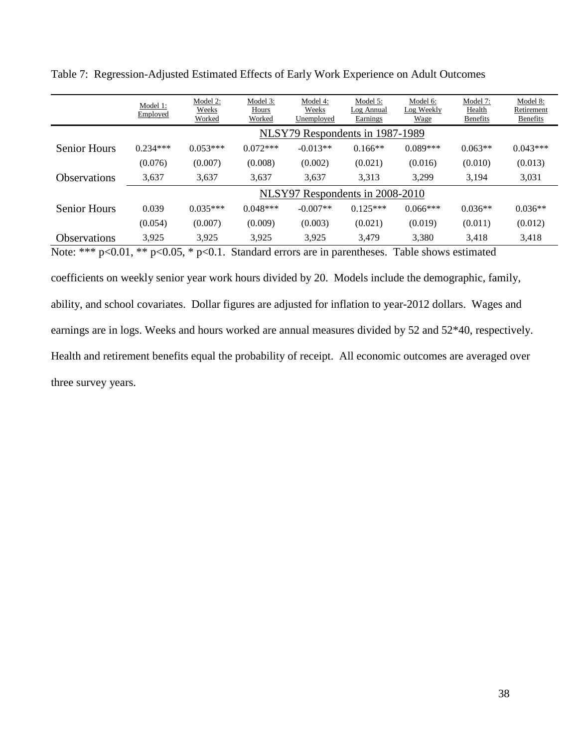|                     | Model 1:<br>Employed | Model 2:<br>Weeks<br>Worked | Model 3:<br>Hours<br>Worked | Model 4:<br>Weeks<br>Unemployed | Model 5:<br>Log Annual<br>Earnings | Model 6:<br>Log Weekly<br><b>Wage</b> | Model 7:<br>Health<br><b>Benefits</b> | Model 8:<br>Retirement<br><b>Benefits</b> |
|---------------------|----------------------|-----------------------------|-----------------------------|---------------------------------|------------------------------------|---------------------------------------|---------------------------------------|-------------------------------------------|
|                     |                      |                             |                             | NLSY79 Respondents in 1987-1989 |                                    |                                       |                                       |                                           |
| <b>Senior Hours</b> | $0.234***$           | $0.053***$                  | $0.072***$                  | $-0.013**$                      | $0.166**$                          | $0.089***$                            | $0.063**$                             | $0.043***$                                |
|                     | (0.076)              | (0.007)                     | (0.008)                     | (0.002)                         | (0.021)                            | (0.016)                               | (0.010)                               | (0.013)                                   |
| <b>Observations</b> | 3,637                | 3,637                       | 3,637                       | 3,637                           | 3,313                              | 3.299                                 | 3.194                                 | 3,031                                     |
|                     |                      |                             |                             | NLSY97 Respondents in 2008-2010 |                                    |                                       |                                       |                                           |
| <b>Senior Hours</b> | 0.039                | $0.035***$                  | $0.048***$                  | $-0.007**$                      | $0.125***$                         | $0.066***$                            | $0.036**$                             | $0.036**$                                 |
|                     | (0.054)              | (0.007)                     | (0.009)                     | (0.003)                         | (0.021)                            | (0.019)                               | (0.011)                               | (0.012)                                   |
| <b>Observations</b> | 3,925                | 3,925                       | 3,925                       | 3.925                           | 3.479                              | 3.380                                 | 3.418                                 | 3,418                                     |

Table 7: Regression-Adjusted Estimated Effects of Early Work Experience on Adult Outcomes

Note: \*\*\* p<0.01, \*\* p<0.05, \* p<0.1. Standard errors are in parentheses. Table shows estimated

coefficients on weekly senior year work hours divided by 20. Models include the demographic, family, ability, and school covariates. Dollar figures are adjusted for inflation to year-2012 dollars. Wages and earnings are in logs. Weeks and hours worked are annual measures divided by 52 and 52\*40, respectively. Health and retirement benefits equal the probability of receipt. All economic outcomes are averaged over three survey years.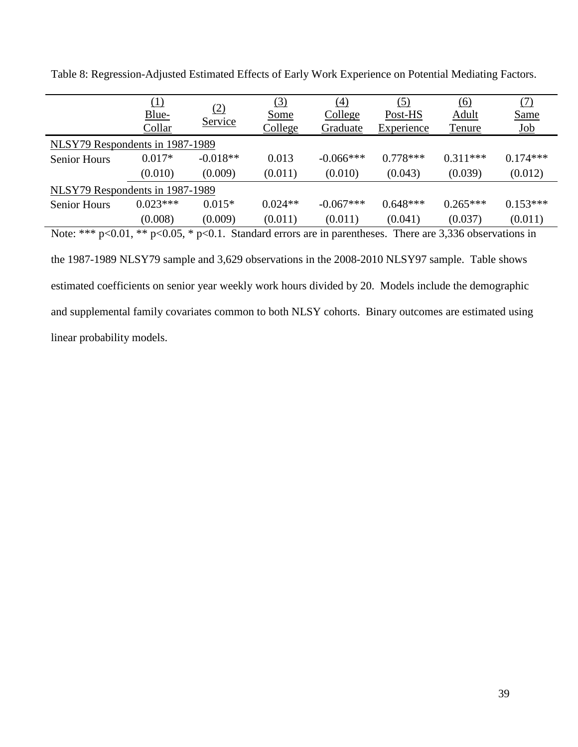|                                 | <u>(1)</u><br>Blue-<br>Collar | (2)<br>Service | <u>(3)</u><br><u>Some</u><br>College | (4)<br>College<br>Graduate | (5)<br>Post-HS<br>Experience | (6)<br><b>Adult</b><br>Tenure | <u>(7)</u><br><u>Same</u><br>$\underline{\text{Job}}$ |
|---------------------------------|-------------------------------|----------------|--------------------------------------|----------------------------|------------------------------|-------------------------------|-------------------------------------------------------|
| NLSY79 Respondents in 1987-1989 |                               |                |                                      |                            |                              |                               |                                                       |
| <b>Senior Hours</b>             | $0.017*$                      | $-0.018**$     | 0.013                                | $-0.066$ ***               | $0.778***$                   | $0.311***$                    | $0.174***$                                            |
|                                 | (0.010)                       | (0.009)        | (0.011)                              | (0.010)                    | (0.043)                      | (0.039)                       | (0.012)                                               |
| NLSY79 Respondents in 1987-1989 |                               |                |                                      |                            |                              |                               |                                                       |
| <b>Senior Hours</b>             | $0.023***$                    | $0.015*$       | $0.024**$                            | $-0.067***$                | $0.648***$                   | $0.265***$                    | $0.153***$                                            |
|                                 | (0.008)                       | (0.009)        | (0.011)                              | (0.011)                    | (0.041)                      | (0.037)                       | (0.011)                                               |

Table 8: Regression-Adjusted Estimated Effects of Early Work Experience on Potential Mediating Factors.

Note: \*\*\* p<0.01, \*\* p<0.05, \* p<0.1. Standard errors are in parentheses. There are 3,336 observations in the 1987-1989 NLSY79 sample and 3,629 observations in the 2008-2010 NLSY97 sample. Table shows

estimated coefficients on senior year weekly work hours divided by 20. Models include the demographic and supplemental family covariates common to both NLSY cohorts. Binary outcomes are estimated using linear probability models.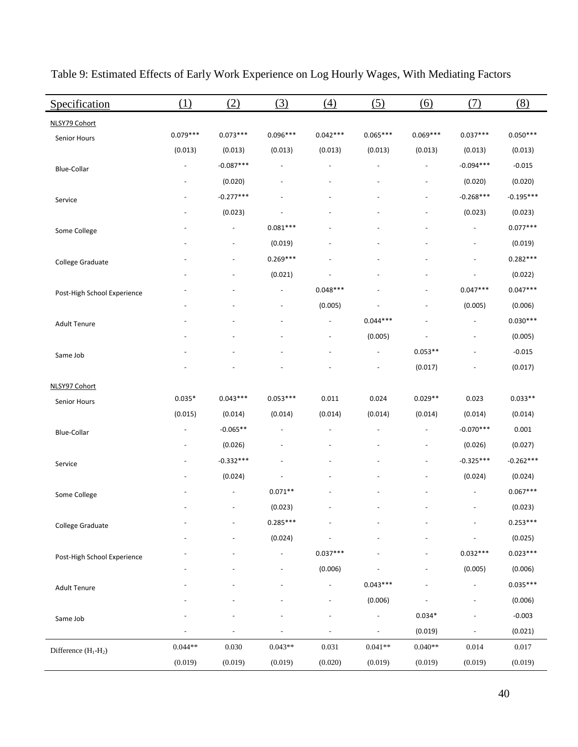| Specification               | (1)                      | (2)                      | (3)                      | $\underline{(4)}$            | (5)                      | $\underline{(6)}$            | (7)                      | (8)         |
|-----------------------------|--------------------------|--------------------------|--------------------------|------------------------------|--------------------------|------------------------------|--------------------------|-------------|
| NLSY79 Cohort               |                          |                          |                          |                              |                          |                              |                          |             |
| Senior Hours                | $0.079***$               | $0.073***$               | $0.096***$               | $0.042***$                   | $0.065***$               | $0.069***$                   | $0.037***$               | $0.050***$  |
|                             | (0.013)                  | (0.013)                  | (0.013)                  | (0.013)                      | (0.013)                  | (0.013)                      | (0.013)                  | (0.013)     |
| Blue-Collar                 | $\overline{\phantom{m}}$ | $-0.087***$              | $\blacksquare$           |                              | $\overline{a}$           |                              | $-0.094***$              | $-0.015$    |
|                             | ÷,                       | (0.020)                  | $\overline{a}$           |                              |                          |                              | (0.020)                  | (0.020)     |
| Service                     | $\overline{\phantom{a}}$ | $-0.277***$              | $\blacksquare$           |                              |                          | $\overline{\phantom{a}}$     | $-0.268***$              | $-0.195***$ |
|                             | $\frac{1}{2}$            | (0.023)                  | $\frac{1}{2}$            |                              |                          | $\qquad \qquad \blacksquare$ | (0.023)                  | (0.023)     |
| Some College                |                          |                          | $0.081***$               |                              |                          | $\overline{\phantom{a}}$     | $\blacksquare$           | $0.077***$  |
|                             |                          |                          | (0.019)                  |                              |                          |                              |                          | (0.019)     |
| College Graduate            |                          | $\overline{\phantom{a}}$ | $0.269***$               |                              |                          |                              | $\blacksquare$           | $0.282***$  |
|                             |                          | $\overline{\phantom{a}}$ | (0.021)                  |                              |                          | $\overline{\phantom{a}}$     | $\overline{\phantom{a}}$ | (0.022)     |
| Post-High School Experience |                          |                          | $\blacksquare$           | $0.048***$                   |                          | $\overline{\phantom{a}}$     | $0.047***$               | $0.047***$  |
|                             |                          |                          | $\overline{a}$           | (0.005)                      |                          | $\qquad \qquad \blacksquare$ | (0.005)                  | (0.006)     |
| <b>Adult Tenure</b>         |                          |                          | $\overline{\phantom{a}}$ | $\overline{\phantom{a}}$     | $0.044***$               | $\blacksquare$               | $\overline{\phantom{a}}$ | $0.030***$  |
|                             |                          |                          |                          | $\qquad \qquad \blacksquare$ | (0.005)                  |                              | $\blacksquare$           | (0.005)     |
| Same Job                    |                          |                          |                          | $\frac{1}{2}$                |                          | $0.053**$                    | -                        | $-0.015$    |
|                             |                          |                          |                          |                              | ÷                        | (0.017)                      | $\overline{\phantom{a}}$ | (0.017)     |
| NLSY97 Cohort               |                          |                          |                          |                              |                          |                              |                          |             |
| Senior Hours                | $0.035*$                 | $0.043***$               | $0.053***$               | 0.011                        | 0.024                    | $0.029**$                    | 0.023                    | $0.033**$   |
|                             | (0.015)                  | (0.014)                  | (0.014)                  | (0.014)                      | (0.014)                  | (0.014)                      | (0.014)                  | (0.014)     |
| Blue-Collar                 | $\overline{\phantom{0}}$ | $-0.065**$               | $\overline{\phantom{a}}$ |                              |                          |                              | $-0.070***$              | 0.001       |
|                             | $\overline{\phantom{a}}$ | (0.026)                  | $\overline{\phantom{a}}$ |                              |                          | $\overline{\phantom{a}}$     | (0.026)                  | (0.027)     |
| Service                     | -                        | $-0.332***$              | $\overline{\phantom{a}}$ |                              | ٠                        | $\overline{\phantom{a}}$     | $-0.325***$              | $-0.262***$ |
|                             |                          | (0.024)                  |                          |                              |                          | $\blacksquare$               | (0.024)                  | (0.024)     |
| Some College                |                          |                          | $0.071**$                |                              |                          | $\overline{\phantom{a}}$     | $\overline{\phantom{a}}$ | $0.067***$  |
|                             |                          |                          | (0.023)                  |                              |                          |                              |                          | (0.023)     |
| College Graduate            |                          | $\overline{\phantom{a}}$ | $0.285***$               |                              |                          |                              | $\overline{\phantom{a}}$ | $0.253***$  |
|                             |                          |                          | (0.024)                  |                              |                          |                              |                          | (0.025)     |
| Post-High School Experience |                          |                          | ÷,                       | $0.037***$                   |                          |                              | $0.032***$               | $0.023***$  |
|                             |                          |                          |                          | (0.006)                      |                          |                              | (0.005)                  | (0.006)     |
| <b>Adult Tenure</b>         |                          |                          |                          | $\blacksquare$               | $0.043***$               | $\overline{\phantom{a}}$     | $\blacksquare$           | $0.035***$  |
|                             |                          |                          |                          |                              | (0.006)                  |                              |                          | (0.006)     |
| Same Job                    |                          |                          |                          |                              | $\overline{\phantom{a}}$ | $0.034*$                     | $\overline{\phantom{a}}$ | $-0.003$    |
|                             |                          |                          | $\overline{\phantom{a}}$ |                              | $\blacksquare$           | (0.019)                      | $\overline{\phantom{a}}$ | (0.021)     |
| Difference $(H_1-H_2)$      | $0.044**$                | $0.030\,$                | $0.043**$                | 0.031                        | $0.041**$                | $0.040**$                    | 0.014                    | 0.017       |
|                             | (0.019)                  | (0.019)                  | (0.019)                  | (0.020)                      | (0.019)                  | (0.019)                      | (0.019)                  | (0.019)     |
|                             |                          |                          |                          |                              |                          |                              |                          |             |

Table 9: Estimated Effects of Early Work Experience on Log Hourly Wages, With Mediating Factors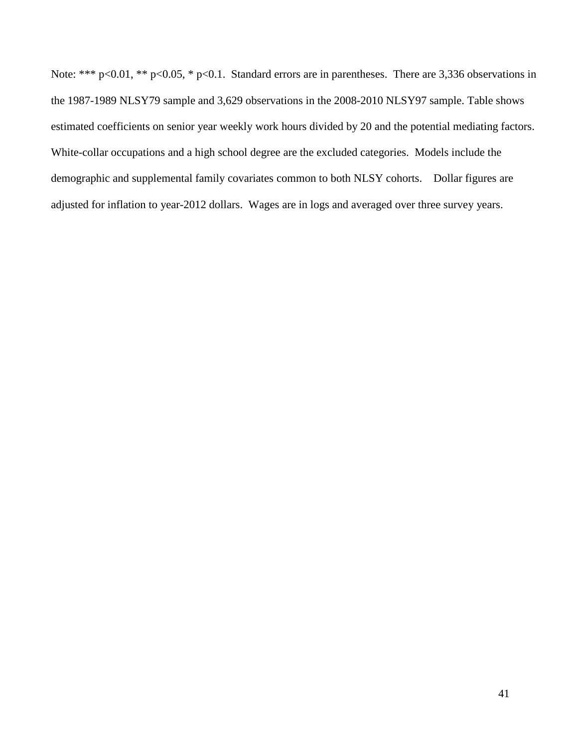Note: \*\*\* p<0.01, \*\* p<0.05, \* p<0.1. Standard errors are in parentheses. There are 3,336 observations in the 1987-1989 NLSY79 sample and 3,629 observations in the 2008-2010 NLSY97 sample. Table shows estimated coefficients on senior year weekly work hours divided by 20 and the potential mediating factors. White-collar occupations and a high school degree are the excluded categories. Models include the demographic and supplemental family covariates common to both NLSY cohorts. Dollar figures are adjusted for inflation to year-2012 dollars. Wages are in logs and averaged over three survey years.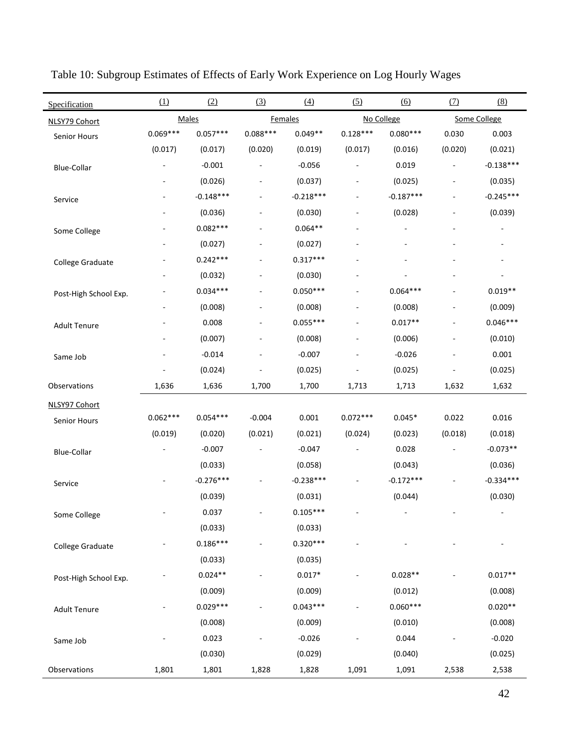| Specification         | (1)                      | (2)         | (3)                      | (4)         | (5)        | (6)         | (7)                      | (8)          |
|-----------------------|--------------------------|-------------|--------------------------|-------------|------------|-------------|--------------------------|--------------|
| NLSY79 Cohort         |                          | Males       |                          | Females     |            | No College  |                          | Some College |
| Senior Hours          | $0.069***$               | $0.057***$  | $0.088***$               | $0.049**$   | $0.128***$ | $0.080***$  | 0.030                    | 0.003        |
|                       | (0.017)                  | (0.017)     | (0.020)                  | (0.019)     | (0.017)    | (0.016)     | (0.020)                  | (0.021)      |
| <b>Blue-Collar</b>    |                          | $-0.001$    |                          | $-0.056$    |            | 0.019       |                          | $-0.138***$  |
|                       |                          | (0.026)     |                          | (0.037)     |            | (0.025)     |                          | (0.035)      |
| Service               |                          | $-0.148***$ |                          | $-0.218***$ |            | $-0.187***$ |                          | $-0.245***$  |
|                       |                          | (0.036)     |                          | (0.030)     |            | (0.028)     |                          | (0.039)      |
| Some College          | $\overline{\phantom{a}}$ | $0.082***$  |                          | $0.064**$   |            |             |                          |              |
|                       |                          | (0.027)     | $\overline{\phantom{0}}$ | (0.027)     |            |             |                          |              |
| College Graduate      |                          | $0.242***$  |                          | $0.317***$  |            |             |                          |              |
|                       |                          | (0.032)     |                          | (0.030)     |            |             |                          |              |
| Post-High School Exp. |                          | $0.034***$  | ä,                       | $0.050***$  |            | $0.064***$  |                          | $0.019**$    |
|                       |                          | (0.008)     |                          | (0.008)     |            | (0.008)     |                          | (0.009)      |
| <b>Adult Tenure</b>   |                          | 0.008       | Ξ.                       | $0.055***$  |            | $0.017**$   |                          | $0.046***$   |
|                       |                          | (0.007)     | ۰                        | (0.008)     |            | (0.006)     | $\overline{\phantom{m}}$ | (0.010)      |
| Same Job              |                          | $-0.014$    |                          | $-0.007$    |            | $-0.026$    |                          | 0.001        |
|                       |                          | (0.024)     |                          | (0.025)     |            | (0.025)     |                          | (0.025)      |
| Observations          | 1,636                    | 1,636       | 1,700                    | 1,700       | 1,713      | 1,713       | 1,632                    | 1,632        |
| NLSY97 Cohort         |                          |             |                          |             |            |             |                          |              |
| Senior Hours          | $0.062***$               | $0.054***$  | $-0.004$                 | 0.001       | $0.072***$ | $0.045*$    | 0.022                    | 0.016        |
|                       | (0.019)                  | (0.020)     | (0.021)                  | (0.021)     | (0.024)    | (0.023)     | (0.018)                  | (0.018)      |
| <b>Blue-Collar</b>    |                          | $-0.007$    |                          | $-0.047$    |            | 0.028       |                          | $-0.073**$   |
|                       |                          | (0.033)     |                          | (0.058)     |            | (0.043)     |                          | (0.036)      |
| Service               |                          | $-0.276***$ |                          | $-0.238***$ |            | $-0.172***$ |                          | $-0.334***$  |
|                       |                          | (0.039)     |                          | (0.031)     |            | (0.044)     |                          | (0.030)      |
| Some College          |                          | 0.037       |                          | $0.105***$  |            |             |                          |              |
|                       |                          | (0.033)     |                          | (0.033)     |            |             |                          |              |
| College Graduate      |                          | $0.186***$  |                          | $0.320***$  |            |             |                          |              |
|                       |                          | (0.033)     |                          | (0.035)     |            |             |                          |              |
| Post-High School Exp. |                          | $0.024**$   |                          | $0.017*$    |            | $0.028**$   |                          | $0.017**$    |
|                       |                          | (0.009)     |                          | (0.009)     |            | (0.012)     |                          | (0.008)      |
| <b>Adult Tenure</b>   |                          | $0.029***$  |                          | $0.043***$  |            | $0.060***$  |                          | $0.020**$    |
|                       |                          | (0.008)     |                          | (0.009)     |            | (0.010)     |                          | (0.008)      |
| Same Job              |                          | 0.023       |                          | $-0.026$    |            | 0.044       |                          | $-0.020$     |
|                       |                          | (0.030)     |                          | (0.029)     |            | (0.040)     |                          | (0.025)      |
| Observations          | 1,801                    | 1,801       | 1,828                    | 1,828       | 1,091      | 1,091       | 2,538                    | 2,538        |

Table 10: Subgroup Estimates of Effects of Early Work Experience on Log Hourly Wages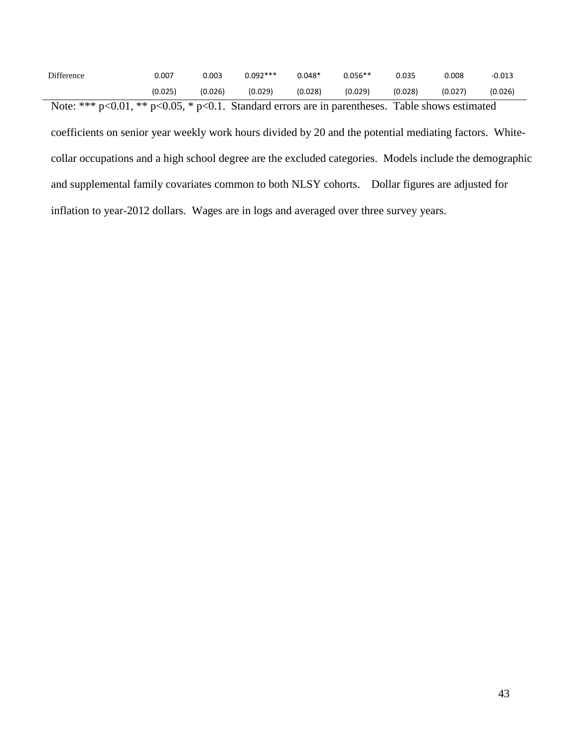| Difference | 0.007   | 0.003   | $0.092***$ | $0.048*$ | $0.056**$ | 0.035   | 0.008   | $-0.013$ |
|------------|---------|---------|------------|----------|-----------|---------|---------|----------|
|            | (0.025) | (0.026) | (0.029)    | (0.028)  | (0.029)   | (0.028) | (0.027) | (0.026)  |

Note: \*\*\* p<0.01, \*\* p<0.05, \* p<0.1. Standard errors are in parentheses. Table shows estimated coefficients on senior year weekly work hours divided by 20 and the potential mediating factors. Whitecollar occupations and a high school degree are the excluded categories. Models include the demographic and supplemental family covariates common to both NLSY cohorts. Dollar figures are adjusted for inflation to year-2012 dollars. Wages are in logs and averaged over three survey years.